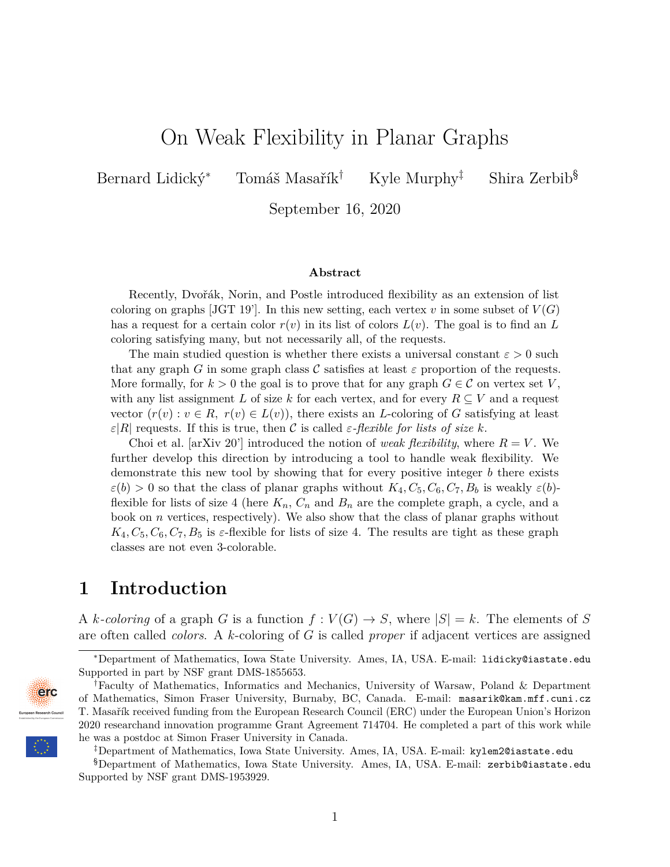# On Weak Flexibility in Planar Graphs

Bernard Lidický<sup>∗</sup> Tomáš Masařík† Kyle Murphy‡ Shira Zerbib§

September 16, 2020

#### **Abstract**

Recently, Dvořák, Norin, and Postle introduced flexibility as an extension of list coloring on graphs [JGT 19']. In this new setting, each vertex  $v$  in some subset of  $V(G)$ has a request for a certain color  $r(v)$  in its list of colors  $L(v)$ . The goal is to find an L coloring satisfying many, but not necessarily all, of the requests.

The main studied question is whether there exists a universal constant  $\varepsilon > 0$  such that any graph *G* in some graph class C satisfies at least  $\varepsilon$  proportion of the requests. More formally, for  $k > 0$  the goal is to prove that for any graph  $G \in \mathcal{C}$  on vertex set V, with any list assignment *L* of size *k* for each vertex, and for every  $R \subseteq V$  and a request vector  $(r(v): v \in R$ ,  $r(v) \in L(v)$ , there exists an *L*-coloring of *G* satisfying at least *ε*|*R*| requests. If this is true, then C is called *ε-flexible for lists of size k*.

Choi et al. [arXiv 20'] introduced the notion of *weak flexibility*, where  $R = V$ . We further develop this direction by introducing a tool to handle weak flexibility. We demonstrate this new tool by showing that for every positive integer *b* there exists  $\varepsilon(b) > 0$  so that the class of planar graphs without  $K_4, C_5, C_6, C_7, B_b$  is weakly  $\varepsilon(b)$ flexible for lists of size 4 (here  $K_n$ ,  $C_n$  and  $B_n$  are the complete graph, a cycle, and a book on *n* vertices, respectively). We also show that the class of planar graphs without  $K_4, C_5, C_6, C_7, B_5$  is  $\varepsilon$ -flexible for lists of size 4. The results are tight as these graph classes are not even 3-colorable.

## **1 Introduction**

A *k*-coloring of a graph *G* is a function  $f: V(G) \to S$ , where  $|S| = k$ . The elements of *S* are often called *colors*. A *k*-coloring of *G* is called *proper* if adjacent vertices are assigned

<sup>§</sup>Department of Mathematics, Iowa State University. Ames, IA, USA. E-mail: zerbib@iastate.edu Supported by NSF grant DMS-1953929.



<sup>∗</sup>Department of Mathematics, Iowa State University. Ames, IA, USA. E-mail: lidicky@iastate.edu Supported in part by NSF grant DMS-1855653.

<sup>†</sup>Faculty of Mathematics, Informatics and Mechanics, University of Warsaw, Poland & Department of Mathematics, Simon Fraser University, Burnaby, BC, Canada. E-mail: masarik@kam.mff.cuni.cz T. Masařík received funding from the European Research Council (ERC) under the European Union's Horizon 2020 researchand innovation programme Grant Agreement 714704. He completed a part of this work while he was a postdoc at Simon Fraser University in Canada.

<sup>‡</sup>Department of Mathematics, Iowa State University. Ames, IA, USA. E-mail: kylem2@iastate.edu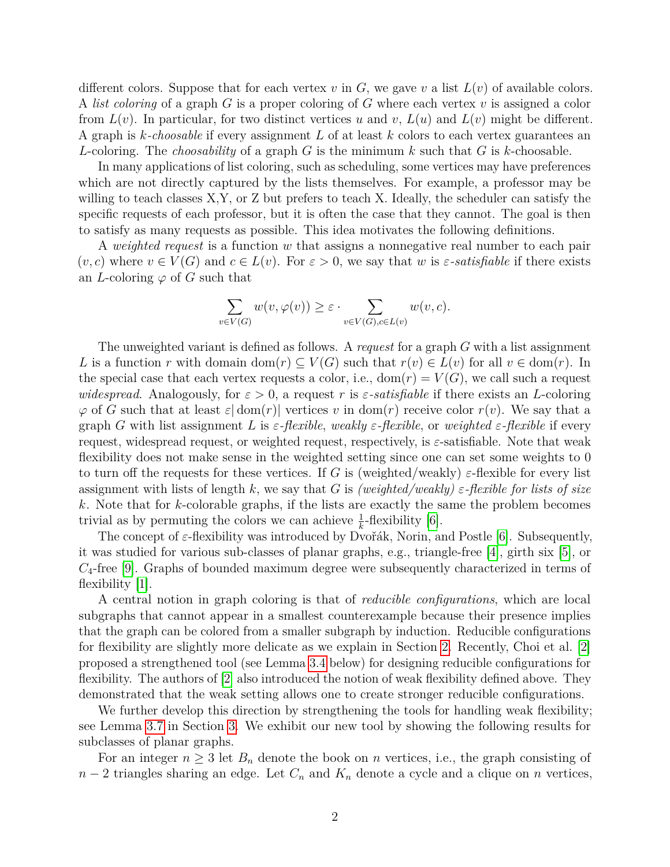different colors. Suppose that for each vertex  $v$  in  $G$ , we gave  $v$  a list  $L(v)$  of available colors. A *list coloring* of a graph *G* is a proper coloring of *G* where each vertex *v* is assigned a color from  $L(v)$ . In particular, for two distinct vertices *u* and *v*,  $L(u)$  and  $L(v)$  might be different. A graph is *k-choosable* if every assignment *L* of at least *k* colors to each vertex guarantees an *L*-coloring. The *choosability* of a graph *G* is the minimum *k* such that *G* is *k*-choosable.

In many applications of list coloring, such as scheduling, some vertices may have preferences which are not directly captured by the lists themselves. For example, a professor may be willing to teach classes X,Y, or Z but prefers to teach X. Ideally, the scheduler can satisfy the specific requests of each professor, but it is often the case that they cannot. The goal is then to satisfy as many requests as possible. This idea motivates the following definitions.

A *weighted request* is a function *w* that assigns a nonnegative real number to each pair  $(v, c)$  where  $v \in V(G)$  and  $c \in L(v)$ . For  $\varepsilon > 0$ , we say that w is  $\varepsilon$ -satisfiable if there exists an *L*-coloring  $\varphi$  of *G* such that

$$
\sum_{v \in V(G)} w(v, \varphi(v)) \ge \varepsilon \cdot \sum_{v \in V(G), c \in L(v)} w(v, c).
$$

The unweighted variant is defined as follows. A *request* for a graph *G* with a list assignment *L* is a function *r* with domain dom(*r*)  $\subset V(G)$  such that  $r(v) \in L(v)$  for all  $v \in \text{dom}(r)$ . In the special case that each vertex requests a color, i.e.,  $dom(r) = V(G)$ , we call such a request *widespread.* Analogously, for  $\varepsilon > 0$ , a request r is  $\varepsilon$ -satisfiable if there exists an *L*-coloring  $\varphi$  of *G* such that at least  $\varepsilon$  dom(*r*) vertices *v* in dom(*r*) receive color  $r(v)$ . We say that a graph *G* with list assignment *L* is *ε-flexible*, *weakly ε-flexible*, or *weighted ε-flexible* if every request, widespread request, or weighted request, respectively, is  $\varepsilon$ -satisfiable. Note that weak flexibility does not make sense in the weighted setting since one can set some weights to 0 to turn off the requests for these vertices. If *G* is (weighted/weakly)  $\varepsilon$ -flexible for every list assignment with lists of length k, we say that G is *(weighted/weakly)*  $\varepsilon$ -flexible for lists of size *k.* Note that for *k*-colorable graphs, if the lists are exactly the same the problem becomes trivial as by permuting the colors we can achieve  $\frac{1}{k}$ -flexibility [\[6\]](#page-29-0).

The concept of *ε*-flexibility was introduced by Dvořák, Norin, and Postle [\[6\]](#page-29-0). Subsequently, it was studied for various sub-classes of planar graphs, e.g., triangle-free [\[4\]](#page-29-1), girth six [\[5\]](#page-29-2), or *C*4-free [\[9\]](#page-29-3). Graphs of bounded maximum degree were subsequently characterized in terms of flexibility [\[1\]](#page-29-4).

A central notion in graph coloring is that of *reducible configurations*, which are local subgraphs that cannot appear in a smallest counterexample because their presence implies that the graph can be colored from a smaller subgraph by induction. Reducible configurations for flexibility are slightly more delicate as we explain in Section [2.](#page-3-0) Recently, Choi et al. [\[2\]](#page-29-5) proposed a strengthened tool (see Lemma [3.4](#page-5-0) below) for designing reducible configurations for flexibility. The authors of [\[2\]](#page-29-5) also introduced the notion of weak flexibility defined above. They demonstrated that the weak setting allows one to create stronger reducible configurations.

We further develop this direction by strengthening the tools for handling weak flexibility; see Lemma [3.7](#page-7-0) in Section [3.](#page-4-0) We exhibit our new tool by showing the following results for subclasses of planar graphs.

For an integer  $n \geq 3$  let  $B_n$  denote the book on *n* vertices, i.e., the graph consisting of *n* − 2 triangles sharing an edge. Let  $C_n$  and  $K_n$  denote a cycle and a clique on *n* vertices,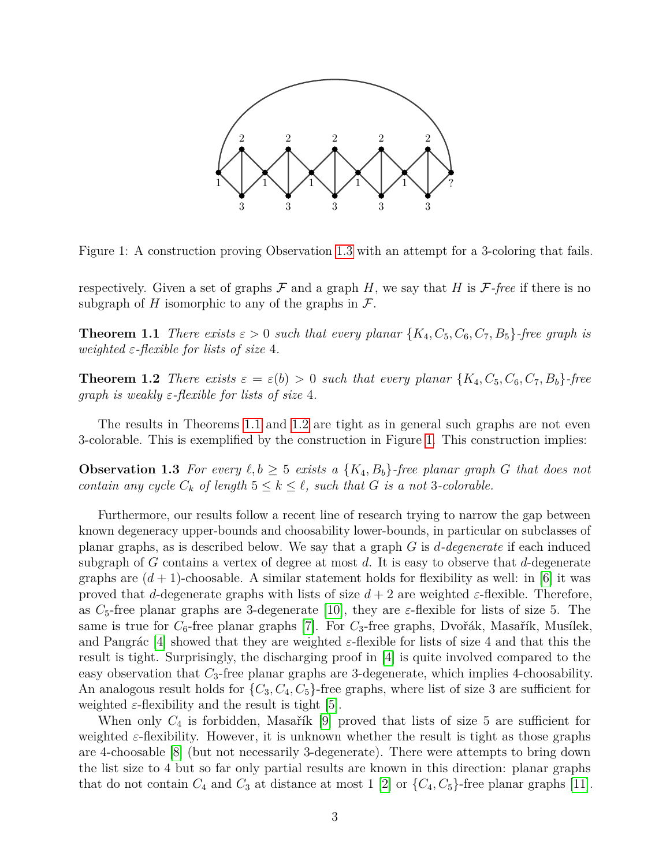

Figure 1: A construction proving Observation [1.3](#page-2-0) with an attempt for a 3-coloring that fails.

respectively. Given a set of graphs  $\mathcal F$  and a graph  $H$ , we say that  $H$  is  $\mathcal F$ *-free* if there is no subgraph of *H* isomorphic to any of the graphs in  $\mathcal{F}$ .

<span id="page-2-1"></span>**Theorem 1.1** *There exists*  $\varepsilon > 0$  *such that every planar*  $\{K_4, C_5, C_6, C_7, B_5\}$ -free graph is *weighted ε-flexible for lists of size* 4*.*

<span id="page-2-2"></span>**Theorem 1.2** *There exists*  $\varepsilon = \varepsilon(b) > 0$  *such that every planar*  $\{K_4, C_5, C_6, C_7, B_b\}$ *-free graph is weakly ε-flexible for lists of size* 4*.*

The results in Theorems [1.1](#page-2-1) and [1.2](#page-2-2) are tight as in general such graphs are not even 3-colorable. This is exemplified by the construction in Figure [1.](#page-2-0) This construction implies:

<span id="page-2-0"></span>**Observation 1.3** For every  $\ell, b \geq 5$  exists a  $\{K_4, B_b\}$ -free planar graph *G* that does not *contain any cycle*  $C_k$  *of length*  $5 \leq k \leq \ell$ *, such that G is a not* 3*-colorable.* 

Furthermore, our results follow a recent line of research trying to narrow the gap between known degeneracy upper-bounds and choosability lower-bounds, in particular on subclasses of planar graphs, as is described below. We say that a graph *G* is *d-degenerate* if each induced subgraph of *G* contains a vertex of degree at most *d*. It is easy to observe that *d*-degenerate graphs are  $(d+1)$ -choosable. A similar statement holds for flexibility as well: in [\[6\]](#page-29-0) it was proved that *d*-degenerate graphs with lists of size  $d+2$  are weighted  $\varepsilon$ -flexible. Therefore, as  $C_5$ -free planar graphs are 3-degenerate [\[10\]](#page-29-6), they are  $\varepsilon$ -flexible for lists of size 5. The same is true for  $C_6$ -free planar graphs [\[7\]](#page-29-7). For  $C_3$ -free graphs, Dvořák, Masařík, Musílek, and Pangrác [\[4\]](#page-29-1) showed that they are weighted  $\varepsilon$ -flexible for lists of size 4 and that this the result is tight. Surprisingly, the discharging proof in [\[4\]](#page-29-1) is quite involved compared to the easy observation that  $C_3$ -free planar graphs are 3-degenerate, which implies 4-choosability. An analogous result holds for  $\{C_3, C_4, C_5\}$ -free graphs, where list of size 3 are sufficient for weighted  $\varepsilon$ -flexibility and the result is tight [\[5\]](#page-29-2).

When only  $C_4$  is forbidden, Masařík [\[9\]](#page-29-3) proved that lists of size 5 are sufficient for weighted *ε*-flexibility. However, it is unknown whether the result is tight as those graphs are 4-choosable [\[8\]](#page-29-8) (but not necessarily 3-degenerate). There were attempts to bring down the list size to 4 but so far only partial results are known in this direction: planar graphs that do not contain  $C_4$  and  $C_3$  at distance at most 1 [\[2\]](#page-29-5) or  $\{C_4, C_5\}$ -free planar graphs [\[11\]](#page-29-9).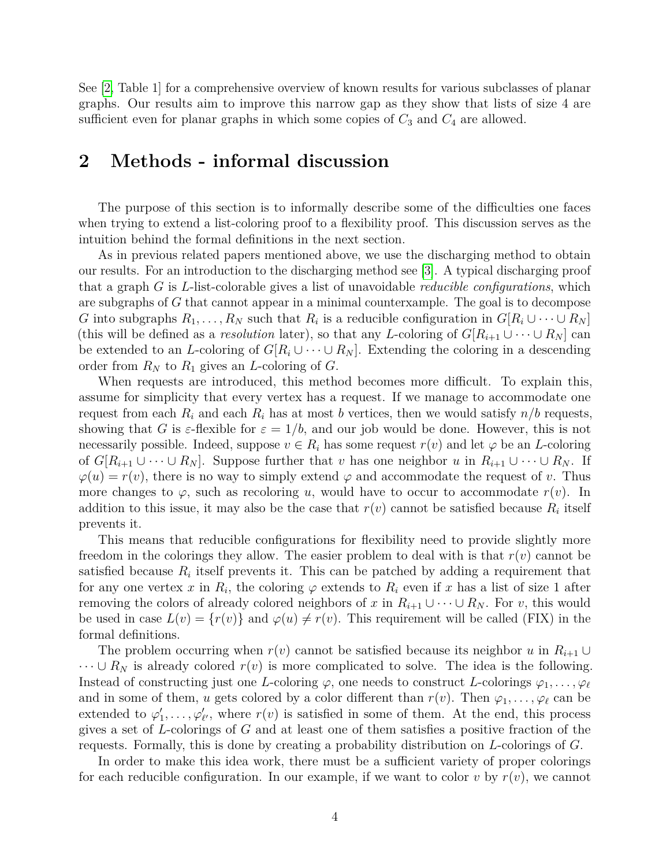See [\[2,](#page-29-5) Table 1] for a comprehensive overview of known results for various subclasses of planar graphs. Our results aim to improve this narrow gap as they show that lists of size 4 are sufficient even for planar graphs in which some copies of  $C_3$  and  $C_4$  are allowed.

## <span id="page-3-0"></span>**2 Methods - informal discussion**

The purpose of this section is to informally describe some of the difficulties one faces when trying to extend a list-coloring proof to a flexibility proof. This discussion serves as the intuition behind the formal definitions in the next section.

As in previous related papers mentioned above, we use the discharging method to obtain our results. For an introduction to the discharging method see [\[3\]](#page-29-10). A typical discharging proof that a graph *G* is *L*-list-colorable gives a list of unavoidable *reducible configurations*, which are subgraphs of *G* that cannot appear in a minimal counterxample. The goal is to decompose *G* into subgraphs  $R_1, \ldots, R_N$  such that  $R_i$  is a reducible configuration in  $G[R_i \cup \cdots \cup R_N]$ (this will be defined as a *resolution* later), so that any *L*-coloring of  $G[R_{i+1} \cup \cdots \cup R_N]$  can be extended to an *L*-coloring of  $G[R_i \cup \cdots \cup R_N]$ . Extending the coloring in a descending order from  $R_N$  to  $R_1$  gives an *L*-coloring of  $G$ .

When requests are introduced, this method becomes more difficult. To explain this, assume for simplicity that every vertex has a request. If we manage to accommodate one request from each  $R_i$  and each  $R_i$  has at most *b* vertices, then we would satisfy  $n/b$  requests, showing that *G* is  $\varepsilon$ -flexible for  $\varepsilon = 1/b$ , and our job would be done. However, this is not necessarily possible. Indeed, suppose  $v \in R_i$  has some request  $r(v)$  and let  $\varphi$  be an *L*-coloring of  $G[R_{i+1} \cup \cdots \cup R_N]$ . Suppose further that *v* has one neighbor *u* in  $R_{i+1} \cup \cdots \cup R_N$ . If  $\varphi(u) = r(v)$ , there is no way to simply extend  $\varphi$  and accommodate the request of *v*. Thus more changes to  $\varphi$ , such as recoloring *u*, would have to occur to accommodate  $r(v)$ . In addition to this issue, it may also be the case that  $r(v)$  cannot be satisfied because  $R_i$  itself prevents it.

This means that reducible configurations for flexibility need to provide slightly more freedom in the colorings they allow. The easier problem to deal with is that  $r(v)$  cannot be satisfied because  $R_i$  itself prevents it. This can be patched by adding a requirement that for any one vertex *x* in  $R_i$ , the coloring  $\varphi$  extends to  $R_i$  even if *x* has a list of size 1 after removing the colors of already colored neighbors of *x* in  $R_{i+1} \cup \cdots \cup R_N$ . For *v*, this would be used in case  $L(v) = \{r(v)\}\$ and  $\varphi(u) \neq r(v)$ . This requirement will be called (FIX) in the formal definitions.

The problem occurring when  $r(v)$  cannot be satisfied because its neighbor *u* in  $R_{i+1} \cup$  $\cdots \cup R_N$  is already colored  $r(v)$  is more complicated to solve. The idea is the following. Instead of constructing just one *L*-coloring  $\varphi$ , one needs to construct *L*-colorings  $\varphi_1, \ldots, \varphi_\ell$ and in some of them, *u* gets colored by a color different than  $r(v)$ . Then  $\varphi_1, \ldots, \varphi_\ell$  can be extended to  $\varphi'_1, \ldots, \varphi'_{\ell'}$ , where  $r(v)$  is satisfied in some of them. At the end, this process gives a set of *L*-colorings of *G* and at least one of them satisfies a positive fraction of the requests. Formally, this is done by creating a probability distribution on *L*-colorings of *G*.

In order to make this idea work, there must be a sufficient variety of proper colorings for each reducible configuration. In our example, if we want to color  $v$  by  $r(v)$ , we cannot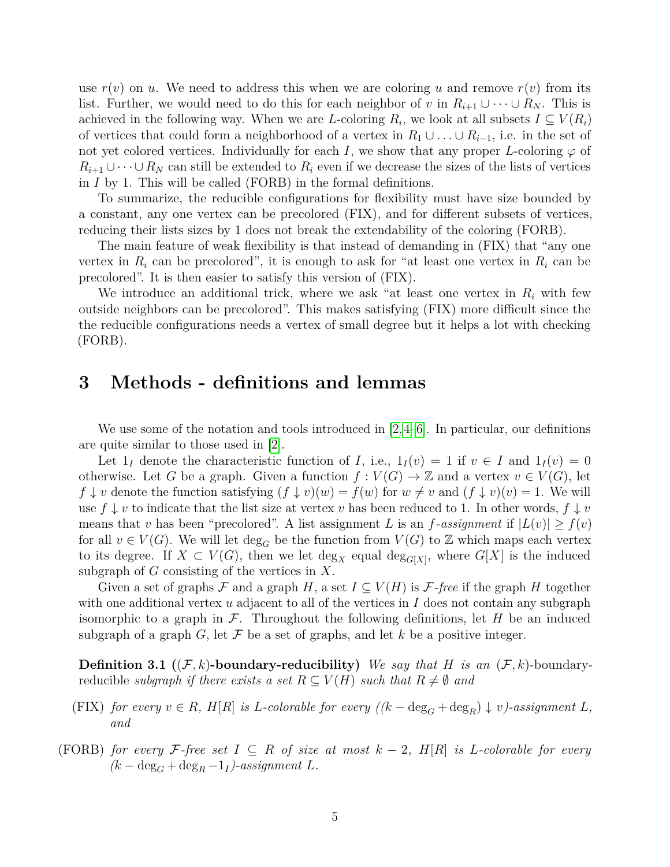use  $r(v)$  on *u*. We need to address this when we are coloring *u* and remove  $r(v)$  from its list. Further, we would need to do this for each neighbor of *v* in  $R_{i+1} \cup \cdots \cup R_N$ . This is achieved in the following way. When we are *L*-coloring  $R_i$ , we look at all subsets  $I \subseteq V(R_i)$ of vertices that could form a neighborhood of a vertex in  $R_1 \cup \ldots \cup R_{i-1}$ , i.e. in the set of not yet colored vertices. Individually for each *I*, we show that any proper *L*-coloring  $\varphi$  of  $R_{i+1} \cup \cdots \cup R_N$  can still be extended to  $R_i$  even if we decrease the sizes of the lists of vertices in *I* by 1. This will be called (FORB) in the formal definitions.

To summarize, the reducible configurations for flexibility must have size bounded by a constant, any one vertex can be precolored (FIX), and for different subsets of vertices, reducing their lists sizes by 1 does not break the extendability of the coloring (FORB).

The main feature of weak flexibility is that instead of demanding in (FIX) that "any one vertex in  $R_i$  can be precolored", it is enough to ask for "at least one vertex in  $R_i$  can be precolored". It is then easier to satisfy this version of (FIX).

We introduce an additional trick, where we ask "at least one vertex in *R<sup>i</sup>* with few outside neighbors can be precolored". This makes satisfying (FIX) more difficult since the the reducible configurations needs a vertex of small degree but it helps a lot with checking (FORB).

## <span id="page-4-0"></span>**3 Methods - definitions and lemmas**

We use some of the notation and tools introduced in [\[2,](#page-29-5)[4–](#page-29-1)[6\]](#page-29-0). In particular, our definitions are quite similar to those used in [\[2\]](#page-29-5).

Let  $1_I$  denote the characteristic function of *I*, i.e.,  $1_I(v) = 1$  if  $v \in I$  and  $1_I(v) = 0$ otherwise. Let *G* be a graph. Given a function  $f: V(G) \to \mathbb{Z}$  and a vertex  $v \in V(G)$ , let  $f \downarrow v$  denote the function satisfying  $(f \downarrow v)(w) = f(w)$  for  $w \neq v$  and  $(f \downarrow v)(v) = 1$ . We will use  $f \downarrow v$  to indicate that the list size at vertex *v* has been reduced to 1. In other words,  $f \downarrow v$ means that *v* has been "precolored". A list assignment *L* is an *f*-assignment if  $|L(v)| \ge f(v)$ for all  $v \in V(G)$ . We will let  $\deg_G$  be the function from  $V(G)$  to Z which maps each vertex to its degree. If  $X \subset V(G)$ , then we let  $\deg_X$  equal  $\deg_{G[X]}$ , where  $G[X]$  is the induced subgraph of *G* consisting of the vertices in *X*.

Given a set of graphs F and a graph H, a set  $I \subseteq V(H)$  is F-free if the graph H together with one additional vertex *u* adjacent to all of the vertices in *I* does not contain any subgraph isomorphic to a graph in  $\mathcal{F}$ . Throughout the following definitions, let  $H$  be an induced subgraph of a graph  $G$ , let  $\mathcal F$  be a set of graphs, and let  $k$  be a positive integer.

<span id="page-4-1"></span>**Definition 3.1** ( $(F, k)$ **-boundary-reducibility)** *We say that H is an*  $(F, k)$ -boundaryreducible *subgraph if there exists a set*  $R \subseteq V(H)$  *such that*  $R \neq \emptyset$  *and* 

- (FIX) for every  $v \in R$ ,  $H[R]$  is *L*-colorable for every  $((k \deg_G + \deg_R) \downarrow v)$ -assignment *L*, *and*
- (FORB) *for every*  $\mathcal{F}\text{-}$ *free set*  $I \subseteq R$  *of size at most*  $k-2$ ,  $H[R]$  *is L*-colorable *for every*  $(k - \deg_G + \deg_R - 1_I)$ -assignment *L*.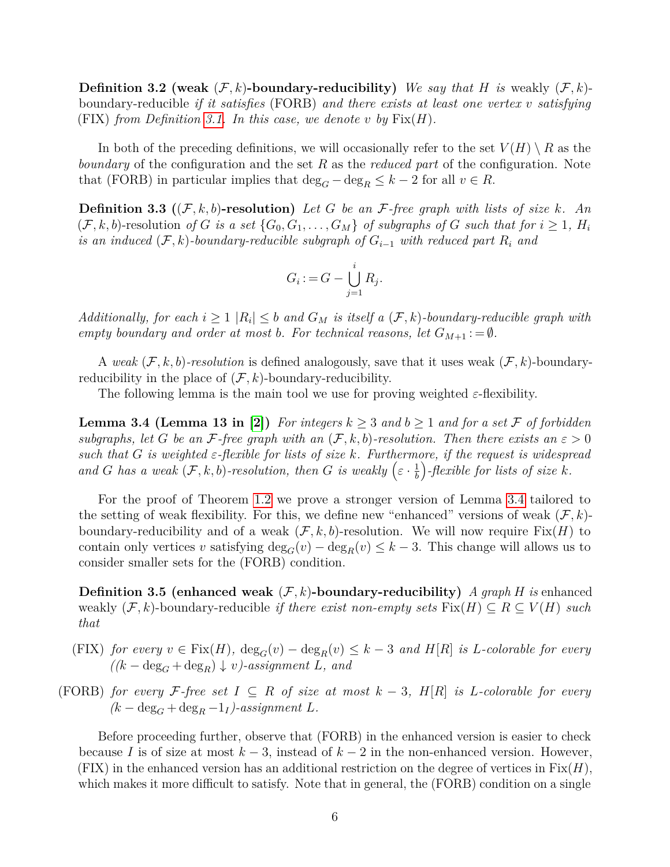**Definition 3.2 (weak**  $(F, k)$ **-boundary-reducibility)** *We say that H is* weakly  $(F, k)$ boundary-reducible *if it satisfies* (FORB) *and there exists at least one vertex v satisfying*  $(FIX)$  *from Definition [3.1.](#page-4-1)* In this case, we denote *v* by  $Fix(H)$ .

In both of the preceding definitions, we will occasionally refer to the set  $V(H) \setminus R$  as the *boundary* of the configuration and the set *R* as the *reduced part* of the configuration. Note that (FORB) in particular implies that  $\deg_G - \deg_R \leq k - 2$  for all  $v \in R$ .

**Definition 3.3** ( $(F, k, b)$ **-resolution)** Let G be an F-free graph with lists of size k. An  $(\mathcal{F}, k, b)$ -resolution *of G is a set*  $\{G_0, G_1, \ldots, G_M\}$  *of subgraphs of G such that for*  $i \geq 1$ *, H<sub>i</sub> is an induced*  $(F, k)$ -boundary-reducible subgraph of  $G_{i-1}$  with reduced part  $R_i$  and

$$
G_i := G - \bigcup_{j=1}^i R_j.
$$

*Additionally, for each*  $i \geq 1$   $|R_i| \leq b$  *and*  $G_M$  *is itself* a  $(\mathcal{F}, k)$ *-boundary-reducible graph with empty boundary and order at most b. For technical reasons, let*  $G_{M+1} := \emptyset$ .

A *weak*  $(F, k, b)$ -resolution is defined analogously, save that it uses weak  $(F, k)$ -boundaryreducibility in the place of  $(\mathcal{F}, k)$ -boundary-reducibility.

The following lemma is the main tool we use for proving weighted *ε*-flexibility.

<span id="page-5-0"></span>**Lemma 3.4 (Lemma 13 in [\[2\]](#page-29-5)**) For integers  $k \geq 3$  and  $b \geq 1$  and for a set F of forbidden *subgraphs, let G be an F*-free graph with an  $(F, k, b)$ -resolution. Then there exists an  $\varepsilon > 0$ *such that G is weighted ε-flexible for lists of size k. Furthermore, if the request is widespread and G has a weak*  $(F, k, b)$ *-resolution, then G is weakly*  $(\varepsilon \cdot \frac{1}{b})$ *b -flexible for lists of size k.*

For the proof of Theorem [1.2](#page-2-2) we prove a stronger version of Lemma [3.4](#page-5-0) tailored to the setting of weak flexibility. For this, we define new "enhanced" versions of weak  $(\mathcal{F}, k)$ boundary-reducibility and of a weak  $(F, k, b)$ -resolution. We will now require  $Fix(H)$  to contain only vertices *v* satisfying  $\deg_G(v) - \deg_B(v) \leq k-3$ . This change will allows us to consider smaller sets for the (FORB) condition.

<span id="page-5-1"></span>**Definition 3.5 (enhanced weak**  $(F, k)$ **-boundary-reducibility)** *A graph H* is enhanced weakly  $(F, k)$ -boundary-reducible *if there exist non-empty sets*  $Fix(H) \subseteq R \subseteq V(H)$  *such that*

- $(FIX)$  *for every*  $v \in Fix(H)$ ,  $\deg_G(v) \deg_R(v) \leq k-3$  *and*  $H[R]$  *is L*-colorable for every  $((k - \deg_G + \deg_R) \downarrow v)$ -assignment *L,* and
- (FORB) *for every*  $\mathcal{F}\text{-}$ *free set*  $I \subseteq R$  *of size at most*  $k-3$ ,  $H[R]$  *is L*-*colorable for every*  $(k - \deg_G + \deg_R - 1_I)$ -assignment *L*.

Before proceeding further, observe that (FORB) in the enhanced version is easier to check because *I* is of size at most  $k-3$ , instead of  $k-2$  in the non-enhanced version. However,  $(FIX)$  in the enhanced version has an additional restriction on the degree of vertices in  $Fix(H)$ , which makes it more difficult to satisfy. Note that in general, the (FORB) condition on a single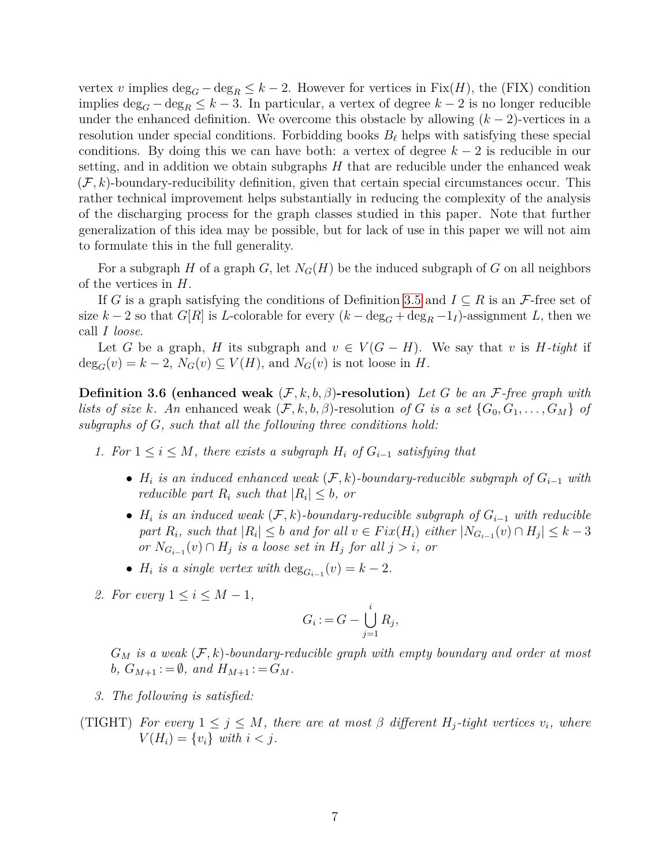vertex *v* implies  $\deg_G - \deg_R \leq k - 2$ . However for vertices in Fix $(H)$ , the (FIX) condition implies deg*<sup>G</sup>* − deg*<sup>R</sup>* ≤ *k* − 3. In particular, a vertex of degree *k* − 2 is no longer reducible under the enhanced definition. We overcome this obstacle by allowing  $(k-2)$ -vertices in a resolution under special conditions. Forbidding books  $B_\ell$  helps with satisfying these special conditions. By doing this we can have both: a vertex of degree  $k-2$  is reducible in our setting, and in addition we obtain subgraphs *H* that are reducible under the enhanced weak  $(F, k)$ -boundary-reducibility definition, given that certain special circumstances occur. This rather technical improvement helps substantially in reducing the complexity of the analysis of the discharging process for the graph classes studied in this paper. Note that further generalization of this idea may be possible, but for lack of use in this paper we will not aim to formulate this in the full generality.

For a subgraph *H* of a graph *G*, let  $N_G(H)$  be the induced subgraph of *G* on all neighbors of the vertices in *H*.

If *G* is a graph satisfying the conditions of Definition [3.5](#page-5-1) and  $I \subseteq R$  is an *F*-free set of size  $k-2$  so that  $G[R]$  is *L*-colorable for every  $(k-\deg_G+\deg_R-1_I)$ -assignment *L*, then we call *I loose*.

Let *G* be a graph, *H* its subgraph and  $v \in V(G-H)$ . We say that *v* is *H*-tight if  $deg_G(v) = k - 2$ ,  $N_G(v) \subseteq V(H)$ , and  $N_G(v)$  is not loose in *H*.

<span id="page-6-0"></span>**Definition 3.6 (enhanced weak** (F*, k, b, β*)**-resolution)** *Let G be an* F*-free graph with lists of size k. An* enhanced weak  $(F, k, b, \beta)$ -resolution *of G is a set*  $\{G_0, G_1, \ldots, G_M\}$  *of subgraphs of G, such that all the following three conditions hold:*

- *1.* For  $1 ≤ i ≤ M$ , there exists a subgraph  $H_i$  of  $G_{i-1}$  satisfying that
	- *H<sup>i</sup> is an induced enhanced weak* (F*, k*)*-boundary-reducible subgraph of Gi*−<sup>1</sup> *with reducible part*  $R_i$  *such that*  $|R_i| \leq b$ *, or*
	- $H_i$  *is an induced weak*  $(F, k)$ -boundary-reducible subgraph of  $G_{i-1}$  with reducible part  $R_i$ , such that  $|R_i| \leq b$  and for all  $v \in Fix(H_i)$  either  $|N_{G_{i-1}}(v) \cap H_j| \leq k-3$ *or*  $N_{G_i-1}(v) ∩ H_j$  *is a loose set in*  $H_j$  *for all*  $j > i$ *, or*
	- $H_i$  is a single vertex with  $\deg_{G_{i-1}}(v) = k 2$ .
- 2. For every  $1 \leq i \leq M-1$ ,

$$
G_i := G - \bigcup_{j=1}^i R_j,
$$

 $G_M$  *is a weak*  $(F, k)$ -boundary-reducible graph with empty boundary and order at most *b,*  $G_{M+1}$  : =  $\emptyset$ *,* and  $H_{M+1}$  : =  $G_M$ *.* 

- *3. The following is satisfied:*
- (TIGHT) For every  $1 \leq j \leq M$ , there are at most  $\beta$  different  $H_j$ -tight vertices  $v_i$ , where  $V(H_i) = \{v_i\}$  *with*  $i < j$ .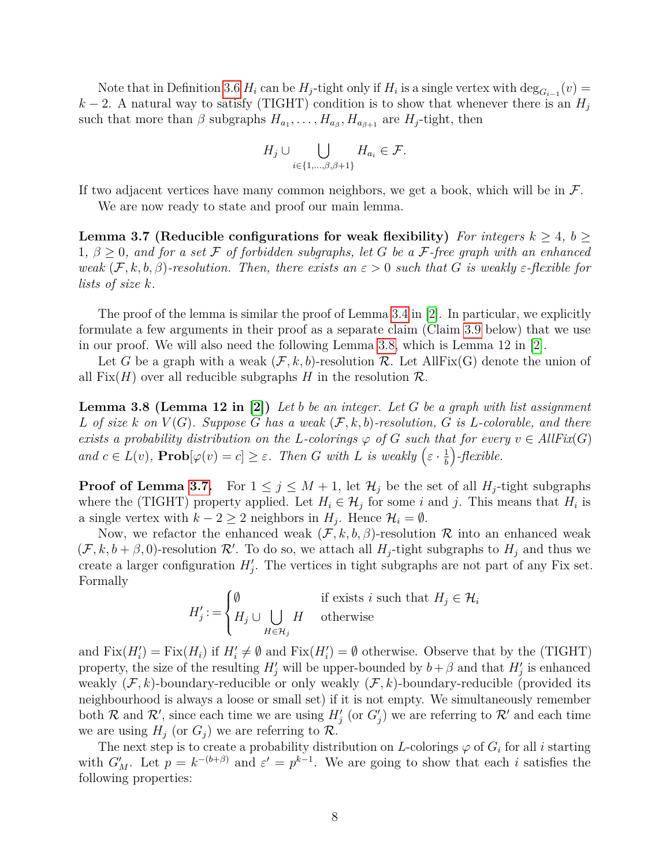Note that in Definition [3.6](#page-6-0)  $H_i$  can be  $H_j$ -tight only if  $H_i$  is a single vertex with  $\deg_{G_{i-1}}(v)$  $k-2$ . A natural way to satisfy (TIGHT) condition is to show that whenever there is an  $H_j$ such that more than  $\beta$  subgraphs  $H_{a_1}, \ldots, H_{a_\beta}, H_{a_{\beta+1}}$  are  $H_j$ -tight, then

$$
H_j \cup \bigcup_{i \in \{1, \dots, \beta, \beta+1\}} H_{a_i} \in \mathcal{F}.
$$

If two adjacent vertices have many common neighbors, we get a book, which will be in  $\mathcal{F}$ .

We are now ready to state and proof our main lemma.

<span id="page-7-0"></span>**Lemma 3.7** (Reducible configurations for weak flexibility) For integers  $k \geq 4$ ,  $b \geq 4$  $1, \beta \geq 0$ , and for a set F of forbidden subgraphs, let G be a F-free graph with an enhanced *weak*  $(F, k, b, \beta)$ -resolution. Then, there exists an  $\varepsilon > 0$  *such that G is weakly*  $\varepsilon$ -flexible for *lists of size k.*

The proof of the lemma is similar the proof of Lemma [3.4](#page-5-0) in [\[2\]](#page-29-5). In particular, we explicitly formulate a few arguments in their proof as a separate claim (Claim [3.9](#page-8-0) below) that we use in our proof. We will also need the following Lemma [3.8,](#page-7-1) which is Lemma 12 in [\[2\]](#page-29-5).

Let G be a graph with a weak  $(F, k, b)$ -resolution R. Let AllFix(G) denote the union of all  $Fix(H)$  over all reducible subgraphs *H* in the resolution  $\mathcal{R}$ .

<span id="page-7-1"></span>**Lemma 3.8 (Lemma 12 in [\[2\]](#page-29-5))** *Let b be an integer. Let G be a graph with list assignment*  $L$  *of size*  $k$  *on*  $V(G)$ *. Suppose*  $G$  *has a weak*  $(F, k, b)$ -resolution,  $G$  *is*  $L$ -colorable, and there *exists a probability distribution on the L-colorings*  $\varphi$  *of G such that for every*  $v \in AllFix(G)$ *and*  $c \in L(v)$ ,  $\textbf{Prob}[\varphi(v) = c] \geq \varepsilon$ . Then *G* with *L* is weakly  $(\varepsilon \cdot \frac{1}{b})$ *b -flexible.*

**Proof of Lemma [3.7.](#page-7-0)** For  $1 \leq j \leq M+1$ , let  $\mathcal{H}_j$  be the set of all  $H_j$ -tight subgraphs where the (TIGHT) property applied. Let  $H_i \in \mathcal{H}_j$  for some *i* and *j*. This means that  $H_i$  is a single vertex with  $k - 2 \geq 2$  neighbors in  $H_j$ . Hence  $\mathcal{H}_i = \emptyset$ .

Now, we refactor the enhanced weak  $(\mathcal{F}, k, b, \beta)$ -resolution R into an enhanced weak  $(\mathcal{F}, k, b + \beta, 0)$ -resolution  $\mathcal{R}'$ . To do so, we attach all  $H_j$ -tight subgraphs to  $H_j$  and thus we create a larger configuration  $H'_{j}$ . The vertices in tight subgraphs are not part of any Fix set. Formally

$$
H'_j := \begin{cases} \emptyset & \text{if exists } i \text{ such that } H_j \in \mathcal{H}_i \\ H_j \cup \bigcup_{H \in \mathcal{H}_j} H & \text{otherwise} \end{cases}
$$

and  $Fix(H_i') = Fix(H_i)$  if  $H_i' \neq \emptyset$  and  $Fix(H_i') = \emptyset$  otherwise. Observe that by the (TIGHT) property, the size of the resulting  $H'_{j}$  will be upper-bounded by  $b + \beta$  and that  $H'_{j}$  is enhanced weakly (F*, k*)-boundary-reducible or only weakly (F*, k*)-boundary-reducible (provided its neighbourhood is always a loose or small set) if it is not empty. We simultaneously remember both R and R', since each time we are using  $H'_{j}$  (or  $G'_{j}$ ) we are referring to R' and each time we are using  $H_j$  (or  $G_j$ ) we are referring to  $\mathcal{R}$ .

The next step is to create a probability distribution on *L*-colorings  $\varphi$  of  $G_i$  for all *i* starting with  $G'_M$ . Let  $p = k^{-(b+\beta)}$  and  $\varepsilon' = p^{k-1}$ . We are going to show that each *i* satisfies the following properties: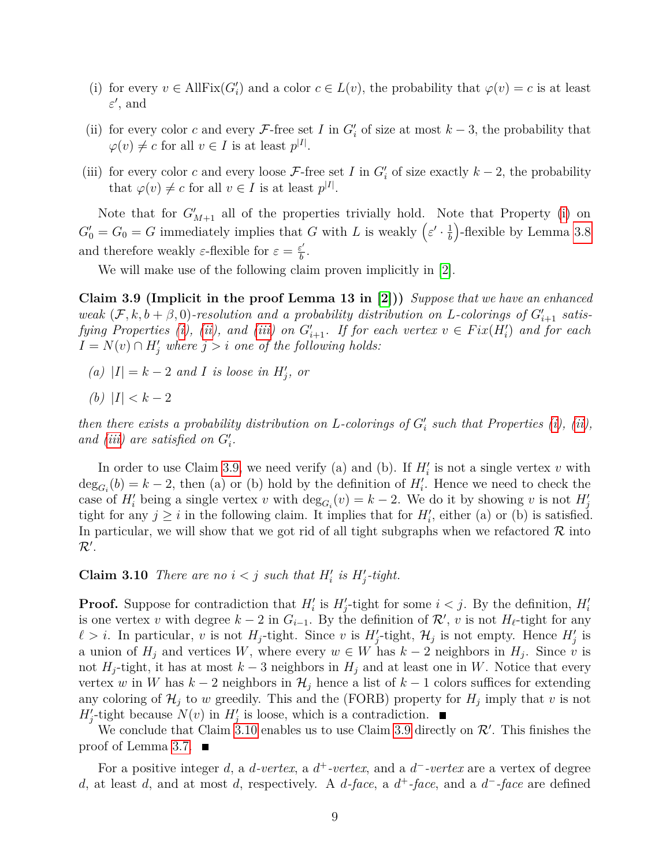- <span id="page-8-1"></span>(i) for every  $v \in \text{AllFix}(G_i')$  and a color  $c \in L(v)$ , the probability that  $\varphi(v) = c$  is at least  $\varepsilon'$ , and
- <span id="page-8-2"></span>(ii) for every color *c* and every  $\mathcal{F}\text{-free set } I$  in  $G_i'$  of size at most  $k-3$ , the probability that  $\varphi(v) \neq c$  for all  $v \in I$  is at least  $p^{|I|}$ .
- <span id="page-8-3"></span>(iii) for every color *c* and every loose  $\mathcal{F}$ -free set *I* in  $G_i'$  of size exactly  $k-2$ , the probability that  $\varphi(v) \neq c$  for all  $v \in I$  is at least  $p^{|I|}$ .

Note that for  $G'_{M+1}$  all of the properties trivially hold. Note that Property [\(i\)](#page-8-1) on  $G_0' = G_0 = G$  immediately implies that *G* with *L* is weakly  $\left(\varepsilon' \cdot \frac{1}{b}\right)$ *b* -flexible by Lemma [3.8](#page-7-1) and therefore weakly  $\varepsilon$ -flexible for  $\varepsilon = \frac{\varepsilon'}{h}$  $\frac{\varepsilon'}{b}$ .

We will make use of the following claim proven implicitly in [\[2\]](#page-29-5).

<span id="page-8-0"></span>**Claim 3.9 (Implicit in the proof Lemma 13 in [\[2\]](#page-29-5)))** *Suppose that we have an enhanced weak*  $(F, k, b + \beta, 0)$ -resolution and a probability distribution on *L*-colorings of  $G'_{i+1}$  satis-*fying Properties [\(i\)](#page-8-1), [\(ii\)](#page-8-2), and [\(iii\)](#page-8-3) on*  $G'_{i+1}$ *. If for each vertex*  $v \in Fix(H'_i)$  *and for each*  $I = N(v) \cap H'_{j}$  *where*  $j > i$  *one of the following holds:* 

- *(a)*  $|I| = k − 2$  *and I is loose in*  $H'_{j}$ *, or*
- *(b)*  $|I| < k − 2$

*then there exists a probability distribution on L-colorings of*  $G_i'$  such that Properties  $(i)$ ,  $(ii)$ , and *[\(iii\)](#page-8-3)* are satisfied on  $G_i'$ .

In order to use Claim [3.9,](#page-8-0) we need verify (a) and (b). If  $H_i'$  is not a single vertex  $v$  with  $deg_{G_i}(b) = k - 2$ , then (a) or (b) hold by the definition of  $H_i'$ . Hence we need to check the case of  $H'_{i}$  being a single vertex *v* with  $\deg_{G_{i}}(v) = k - 2$ . We do it by showing *v* is not  $H'_{j}$ tight for any  $j \geq i$  in the following claim. It implies that for  $H'_{i}$ , either (a) or (b) is satisfied. In particular, we will show that we got rid of all tight subgraphs when we refactored  $\mathcal R$  into  $\mathcal{R}^{\prime}.$ 

<span id="page-8-4"></span>**Claim 3.10** *There are no*  $i < j$  *such that*  $H'_i$  *is*  $H'_j$ -*tight.* 

**Proof.** Suppose for contradiction that  $H_i'$  is  $H_j'$ -tight for some  $i < j$ . By the definition,  $H_i'$ is one vertex *v* with degree  $k-2$  in  $G_{i-1}$ . By the definition of  $\mathcal{R}'$ , *v* is not  $H_{\ell}$ -tight for any  $\ell > i$ . In particular, *v* is not *H<sub>j</sub>*-tight. Since *v* is *H*<sub>j</sub>-tight, *H*<sub>j</sub> is not empty. Hence *H*<sub>j</sub> is a union of  $H_j$  and vertices *W*, where every  $w \in W$  has  $k-2$  neighbors in  $H_j$ . Since *v* is not  $H_i$ -tight, it has at most  $k-3$  neighbors in  $H_i$  and at least one in W. Notice that every vertex *w* in *W* has  $k-2$  neighbors in  $\mathcal{H}_j$  hence a list of  $k-1$  colors suffices for extending any coloring of  $\mathcal{H}_j$  to *w* greedily. This and the (FORB) property for  $H_j$  imply that *v* is not  $H'_{j}$ -tight because  $N(v)$  in  $H'_{j}$  is loose, which is a contradiction.

We conclude that Claim [3.10](#page-8-4) enables us to use Claim [3.9](#page-8-0) directly on  $\mathcal{R}'$ . This finishes the proof of Lemma [3.7.](#page-7-0)  $\blacksquare$ 

For a positive integer *d*, a *d-vertex*, a *d* <sup>+</sup>*-vertex*, and a *d* <sup>−</sup>*-vertex* are a vertex of degree *d*, at least *d*, and at most *d*, respectively. A *d-face*, a *d* <sup>+</sup>*-face*, and a *d* <sup>−</sup>*-face* are defined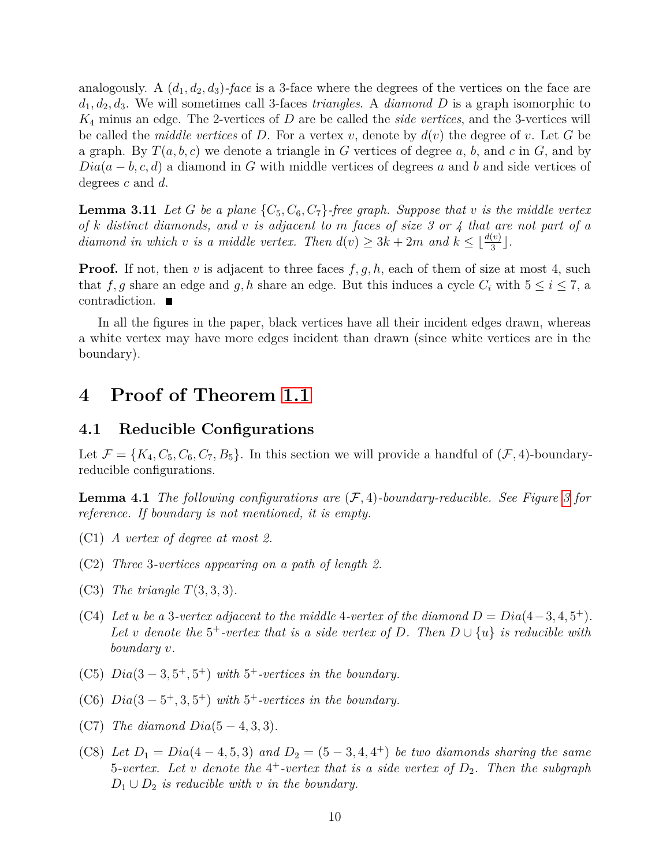analogously. A  $(d_1, d_2, d_3)$ -face is a 3-face where the degrees of the vertices on the face are  $d_1, d_2, d_3$ . We will sometimes call 3-faces *triangles*. A *diamond D* is a graph isomorphic to *K*<sup>4</sup> minus an edge. The 2-vertices of *D* are be called the *side vertices*, and the 3-vertices will be called the *middle vertices* of D. For a vertex  $v$ , denote by  $d(v)$  the degree of  $v$ . Let G be a graph. By  $T(a, b, c)$  we denote a triangle in *G* vertices of degree  $a, b$ , and  $c$  in  $G$ , and by *Dia*( $a − b, c, d$ ) a diamond in *G* with middle vertices of degrees *a* and *b* and side vertices of degrees *c* and *d*.

<span id="page-9-1"></span>**Lemma 3.11** *Let G be a plane*  $\{C_5, C_6, C_7\}$ *-free graph. Suppose that v is the middle vertex of k distinct diamonds, and v is adjacent to m faces of size 3 or 4 that are not part of a diamond in which v is a middle vertex. Then*  $d(v) \geq 3k + 2m$  *and*  $k \leq \lfloor \frac{d(v)}{3} \rfloor$ .

**Proof.** If not, then *v* is adjacent to three faces  $f, g, h$ , each of them of size at most 4, such that *f, g* share an edge and *g, h* share an edge. But this induces a cycle  $C_i$  with  $5 \leq i \leq 7$ , a contradiction.

In all the figures in the paper, black vertices have all their incident edges drawn, whereas a white vertex may have more edges incident than drawn (since white vertices are in the boundary).

## **4 Proof of Theorem [1.1](#page-2-1)**

### **4.1 Reducible Configurations**

Let  $\mathcal{F} = \{K_4, C_5, C_6, C_7, B_5\}$ . In this section we will provide a handful of  $(\mathcal{F}, 4)$ -boundaryreducible configurations.

<span id="page-9-0"></span>**Lemma 4.1** *The following configurations are* (F*,* 4)*-boundary-reducible. See Figure [3](#page-12-0) for reference. If boundary is not mentioned, it is empty.*

- (C1) *A vertex of degree at most 2.*
- (C2) *Three* 3*-vertices appearing on a path of length 2.*
- (C3) *The triangle T*(3*,* 3*,* 3)*.*
- (C4) Let *u* be a 3-vertex adjacent to the middle 4-vertex of the diamond  $D = Dia(4-3, 4, 5^+)$ . Let *v* denote the 5<sup>+</sup>-vertex that is a side vertex of D. Then  $D \cup \{u\}$  is reducible with *boundary v.*
- (C5)  $Di a (3-3, 5^+, 5^+)$  *with*  $5^+$ -vertices in the boundary.
- (C6)  $Diag(3-5^+,3,5^+)$  *with*  $5^+$ -vertices in the boundary.
- (C7) *The diamond Dia*(5 − 4*,* 3*,* 3)*.*
- (C8) Let  $D_1 = Dia(4-4, 5, 3)$  and  $D_2 = (5-3, 4, 4^+)$  be two diamonds sharing the same 5*-vertex. Let v denote the* 4 <sup>+</sup>*-vertex that is a side vertex of D*2*. Then the subgraph*  $D_1 \cup D_2$  *is reducible with v in the boundary.*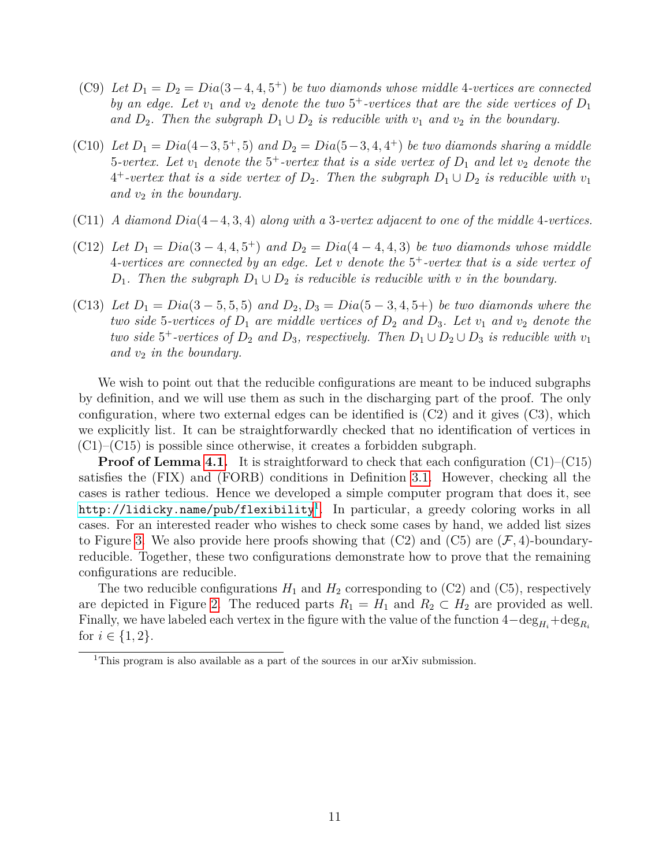- (C9) Let  $D_1 = D_2 = Dia(3-4, 4, 5^+)$  *be two diamonds whose middle* 4-vertices are connected *by an edge. Let*  $v_1$  *and*  $v_2$  *denote the two*  $5^+$ -vertices that are the side vertices of  $D_1$ *and*  $D_2$ . Then the subgraph  $D_1 \cup D_2$  *is reducible with*  $v_1$  *and*  $v_2$  *in the boundary.*
- (C10) *Let*  $D_1 = Dia(4-3, 5^+, 5)$  *and*  $D_2 = Dia(5-3, 4, 4^+)$  *be two diamonds sharing a middle* 5*-vertex. Let v*<sup>1</sup> *denote the* 5 <sup>+</sup>*-vertex that is a side vertex of D*<sup>1</sup> *and let v*<sup>2</sup> *denote the*  $4^+$ -vertex that is a side vertex of  $D_2$ . Then the subgraph  $D_1 \cup D_2$  is reducible with  $v_1$ *and v*<sup>2</sup> *in the boundary.*
- (C11) *A diamond Dia*(4−4*,* 3*,* 4) *along with a* 3*-vertex adjacent to one of the middle* 4*-vertices.*
- (C12) *Let*  $D_1 = Dia(3-4, 4, 5^+)$  *and*  $D_2 = Dia(4-4, 4, 3)$  *be two diamonds whose middle* 4*-vertices are connected by an edge. Let v denote the* 5 <sup>+</sup>*-vertex that is a side vertex of D*<sub>1</sub>*.* Then the subgraph  $D_1 \cup D_2$  *is reducible is reducible with v in the boundary.*
- (C13) *Let*  $D_1 = Dia(3-5, 5, 5)$  *and*  $D_2, D_3 = Dia(5-3, 4, 5+)$  *be two diamonds where the two side* 5-vertices of  $D_1$  are middle vertices of  $D_2$  and  $D_3$ . Let  $v_1$  and  $v_2$  denote the *two side*  $5^+$ -vertices of  $D_2$  *and*  $D_3$ *, respectively. Then*  $D_1 \cup D_2 \cup D_3$  *is reducible with*  $v_1$ *and v*<sup>2</sup> *in the boundary.*

We wish to point out that the reducible configurations are meant to be induced subgraphs by definition, and we will use them as such in the discharging part of the proof. The only configuration, where two external edges can be identified is  $(C2)$  and it gives  $(C3)$ , which we explicitly list. It can be straightforwardly checked that no identification of vertices in  $(C1)$ – $(C15)$  is possible since otherwise, it creates a forbidden subgraph.

**Proof of Lemma [4.1.](#page-9-0)** It is straightforward to check that each configuration (C1)–(C15) satisfies the (FIX) and (FORB) conditions in Definition [3.1.](#page-4-1) However, checking all the cases is rather tedious. Hence we developed a simple computer program that does it, see <code><http://lidicky.name/pub/flexibility> $^{\rm l}$ . In particular, a greedy coloring works in all</code> cases. For an interested reader who wishes to check some cases by hand, we added list sizes to Figure [3.](#page-12-0) We also provide here proofs showing that  $(C2)$  and  $(C5)$  are  $(\mathcal{F}, 4)$ -boundaryreducible. Together, these two configurations demonstrate how to prove that the remaining configurations are reducible.

The two reducible configurations  $H_1$  and  $H_2$  corresponding to (C2) and (C5), respectively are depicted in Figure [2.](#page-11-0) The reduced parts  $R_1 = H_1$  and  $R_2 \subset H_2$  are provided as well. Finally, we have labeled each vertex in the figure with the value of the function  $4-\deg_{H_i}+\deg_{R_i}$ for  $i \in \{1, 2\}$ .

<span id="page-10-0"></span><sup>&</sup>lt;sup>1</sup>This program is also available as a part of the sources in our arXiv submission.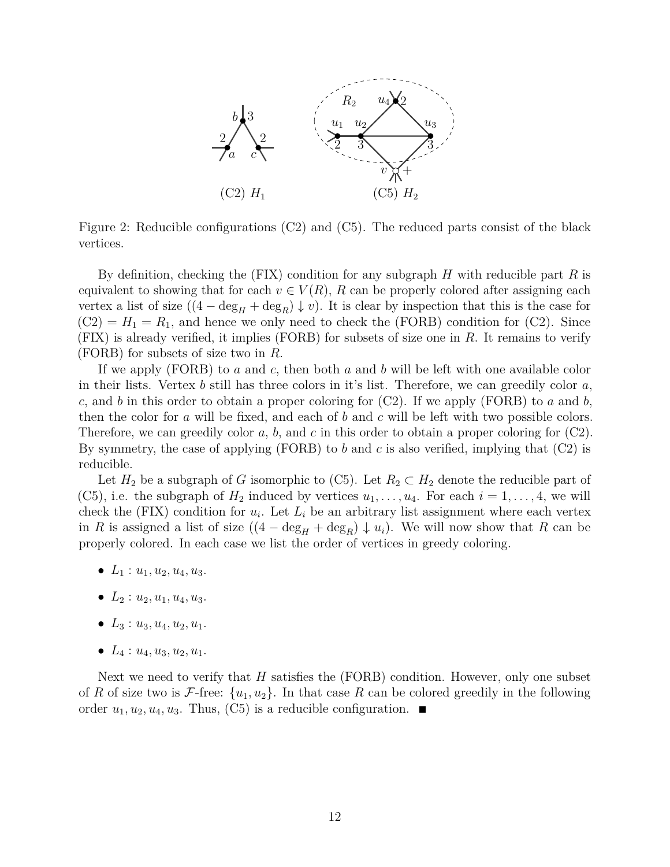<span id="page-11-0"></span>

Figure 2: Reducible configurations (C2) and (C5). The reduced parts consist of the black vertices.

By definition, checking the (FIX) condition for any subgraph *H* with reducible part *R* is equivalent to showing that for each  $v \in V(R)$ , R can be properly colored after assigning each vertex a list of size  $((4 - \deg_H + \deg_R) \downarrow v)$ . It is clear by inspection that this is the case for  $(C2) = H_1 = R_1$ , and hence we only need to check the (FORB) condition for  $(C2)$ . Since (FIX) is already verified, it implies (FORB) for subsets of size one in *R*. It remains to verify (FORB) for subsets of size two in *R*.

If we apply (FORB) to *a* and *c*, then both *a* and *b* will be left with one available color in their lists. Vertex *b* still has three colors in it's list. Therefore, we can greedily color *a*, *c*, and *b* in this order to obtain a proper coloring for (C2). If we apply (FORB) to *a* and *b*, then the color for *a* will be fixed, and each of *b* and *c* will be left with two possible colors. Therefore, we can greedily color *a*, *b*, and *c* in this order to obtain a proper coloring for (C2). By symmetry, the case of applying (FORB) to *b* and *c* is also verified, implying that (C2) is reducible.

Let  $H_2$  be a subgraph of *G* isomorphic to (C5). Let  $R_2 \subset H_2$  denote the reducible part of (C5), i.e. the subgraph of  $H_2$  induced by vertices  $u_1, \ldots, u_4$ . For each  $i = 1, \ldots, 4$ , we will check the (FIX) condition for  $u_i$ . Let  $L_i$  be an arbitrary list assignment where each vertex in *R* is assigned a list of size  $((4 - \deg_H + \deg_R) \downarrow u_i)$ . We will now show that *R* can be properly colored. In each case we list the order of vertices in greedy coloring.

- $L_1: u_1, u_2, u_4, u_3.$
- $L_2: u_2, u_1, u_4, u_3$ .
- $L_3: u_3, u_4, u_2, u_1.$
- $L_4: u_4, u_3, u_2, u_1$ .

Next we need to verify that *H* satisfies the (FORB) condition. However, only one subset of *R* of size two is *F*-free:  $\{u_1, u_2\}$ . In that case *R* can be colored greedily in the following order  $u_1, u_2, u_4, u_3$ . Thus, (C5) is a reducible configuration.  $\blacksquare$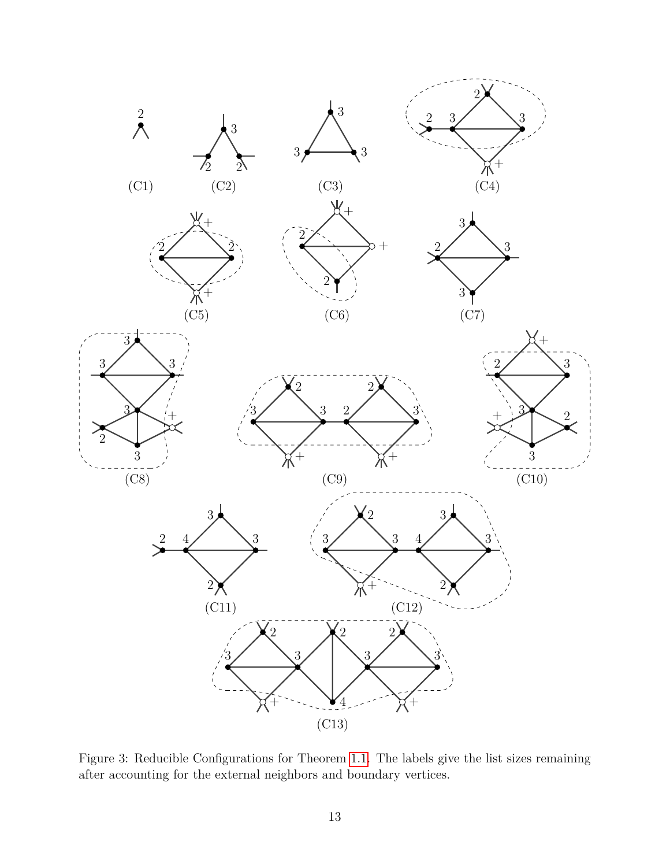

<span id="page-12-0"></span>Figure 3: Reducible Configurations for Theorem [1.1.](#page-2-1) The labels give the list sizes remaining after accounting for the external neighbors and boundary vertices.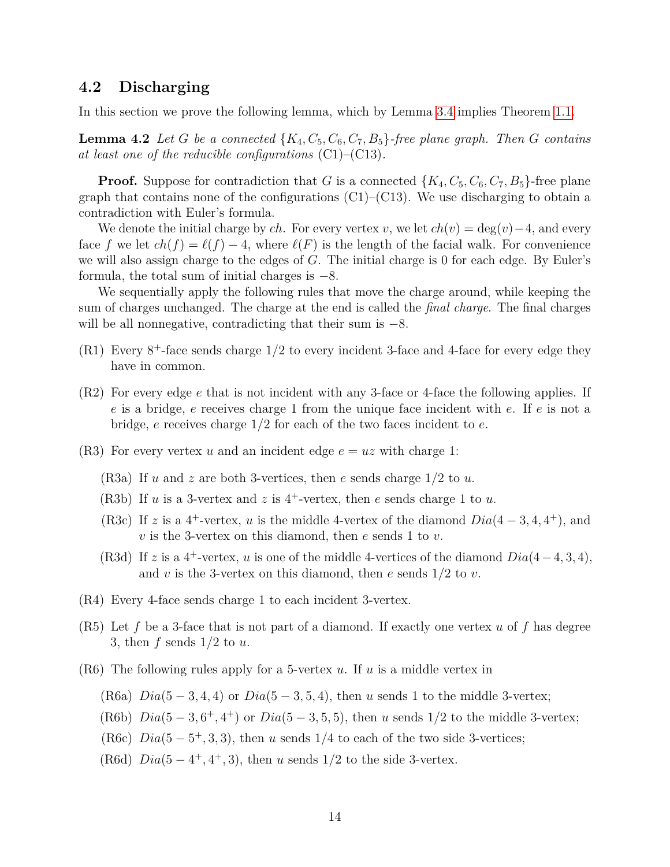### **4.2 Discharging**

<span id="page-13-0"></span>In this section we prove the following lemma, which by Lemma [3.4](#page-5-0) implies Theorem [1.1.](#page-2-1)

**Lemma 4.2** Let *G* be a connected  $\{K_4, C_5, C_6, C_7, B_5\}$ -free plane graph. Then *G* contains *at least one of the reducible configurations* (C1)–(C13)*.*

**Proof.** Suppose for contradiction that *G* is a connected  $\{K_4, C_5, C_6, C_7, B_5\}$ -free plane graph that contains none of the configurations  $(C1)$ – $(C13)$ . We use discharging to obtain a contradiction with Euler's formula.

We denote the initial charge by *ch*. For every vertex *v*, we let  $ch(v) = deg(v) - 4$ , and every face *f* we let  $ch(f) = \ell(f) - 4$ , where  $\ell(F)$  is the length of the facial walk. For convenience we will also assign charge to the edges of *G*. The initial charge is 0 for each edge. By Euler's formula, the total sum of initial charges is  $-8$ .

We sequentially apply the following rules that move the charge around, while keeping the sum of charges unchanged. The charge at the end is called the *final charge*. The final charges will be all nonnegative, contradicting that their sum is  $-8$ .

- (R1) Every 8 <sup>+</sup>-face sends charge 1*/*2 to every incident 3-face and 4-face for every edge they have in common.
- (R2) For every edge *e* that is not incident with any 3-face or 4-face the following applies. If *e* is a bridge, *e* receives charge 1 from the unique face incident with *e*. If *e* is not a bridge, *e* receives charge 1*/*2 for each of the two faces incident to *e*.
- (R3) For every vertex *u* and an incident edge  $e = uz$  with charge 1:
	- (R3a) If *u* and *z* are both 3-vertices, then *e* sends charge 1*/*2 to *u*.
	- (R3b) If  $u$  is a 3-vertex and  $z$  is 4<sup>+</sup>-vertex, then  $e$  sends charge 1 to  $u$ .
	- (R3c) If *z* is a 4<sup>+</sup>-vertex, *u* is the middle 4-vertex of the diamond  $Dia(4-3,4,4^+)$ , and *v* is the 3-vertex on this diamond, then *e* sends 1 to *v*.
	- (R3d) If *z* is a 4<sup>+</sup>-vertex, *u* is one of the middle 4-vertices of the diamond  $Dia(4-4,3,4)$ , and *v* is the 3-vertex on this diamond, then *e* sends 1*/*2 to *v*.
- (R4) Every 4-face sends charge 1 to each incident 3-vertex.
- (R5) Let *f* be a 3-face that is not part of a diamond. If exactly one vertex *u* of *f* has degree 3, then *f* sends 1*/*2 to *u*.
- (R6) The following rules apply for a 5-vertex *u*. If *u* is a middle vertex in
	- (R6a) *Dia*(5 − 3*,* 4*,* 4) or *Dia*(5 − 3*,* 5*,* 4), then *u* sends 1 to the middle 3-vertex;
	- (R6b)  $Dia(5-3, 6^+, 4^+)$  or  $Dia(5-3, 5, 5)$ , then *u* sends 1/2 to the middle 3-vertex;
	- (R6c)  $Dia(5-5^+,3,3)$ , then *u* sends 1/4 to each of the two side 3-vertices;
	- (R6d)  $Dia(5-4^+, 4^+, 3)$ , then *u* sends 1/2 to the side 3-vertex.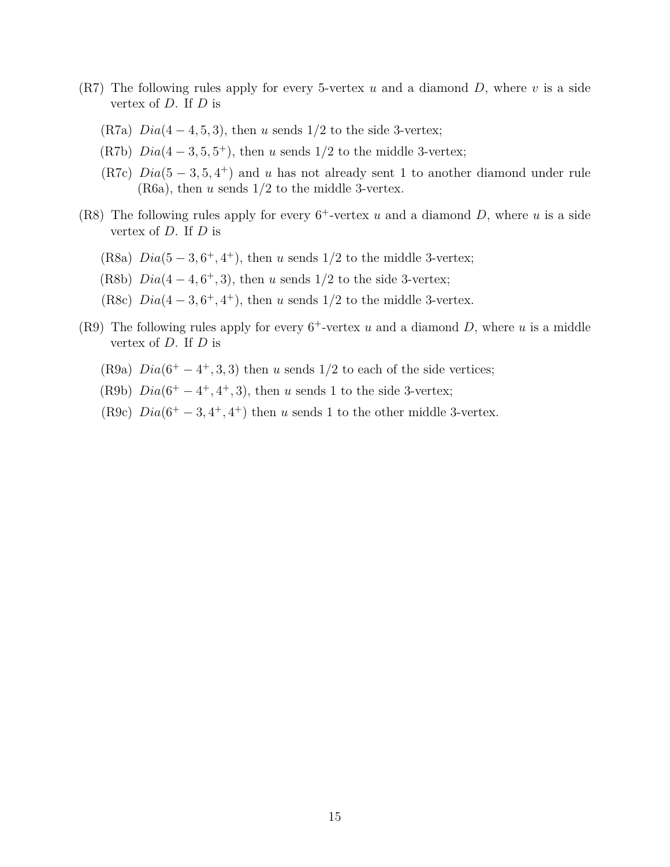- (R7) The following rules apply for every 5-vertex *u* and a diamond *D*, where *v* is a side vertex of *D*. If *D* is
	- (R7a) *Dia*(4 − 4*,* 5*,* 3), then *u* sends 1*/*2 to the side 3-vertex;
	- (R7b)  $Dia(4-3,5,5^+)$ , then *u* sends  $1/2$  to the middle 3-vertex;
	- (R7c)  $Dia(5-3,5,4^+)$  and *u* has not already sent 1 to another diamond under rule (R6a), then *u* sends 1*/*2 to the middle 3-vertex.
- (R8) The following rules apply for every  $6^+$ -vertex  $u$  and a diamond  $D$ , where  $u$  is a side vertex of *D*. If *D* is
	- (R8a)  $Dia(5-3,6^+,4^+)$ , then *u* sends  $1/2$  to the middle 3-vertex;
	- (R8b)  $Dia(4-4, 6^+, 3)$ , then *u* sends  $1/2$  to the side 3-vertex;
	- (R8c)  $Di\alpha(4-3,6^+,4^+)$ , then *u* sends  $1/2$  to the middle 3-vertex.
- (R9) The following rules apply for every  $6^+$ -vertex *u* and a diamond *D*, where *u* is a middle vertex of *D*. If *D* is
	- (R9a)  $Dia(6^+ 4^+, 3, 3)$  then *u* sends 1/2 to each of the side vertices;
	- (R9b)  $Dia(6^+ 4^+, 4^+, 3)$ , then *u* sends 1 to the side 3-vertex;
	- (R9c)  $Di\alpha(6^+ 3, 4^+, 4^+)$  then *u* sends 1 to the other middle 3-vertex.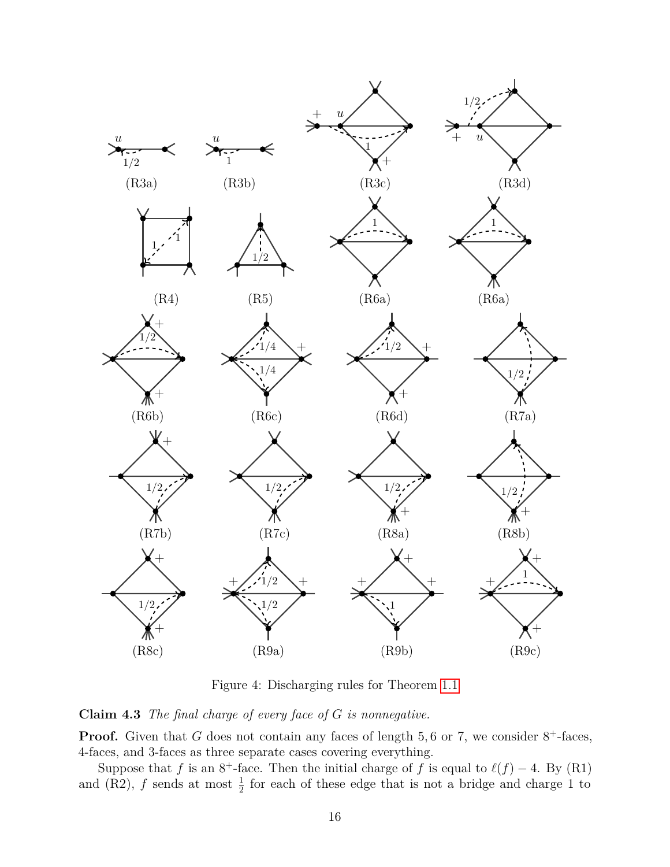

Figure 4: Discharging rules for Theorem [1.1](#page-2-1)

<span id="page-15-0"></span>**Claim 4.3** *The final charge of every face of G is nonnegative.*

**Proof.** Given that  $G$  does not contain any faces of length  $5, 6$  or  $7$ , we consider  $8^+$ -faces, 4-faces, and 3-faces as three separate cases covering everything.

Suppose that *f* is an  $8^+$ -face. Then the initial charge of *f* is equal to  $\ell(f) - 4$ . By (R1) and (R2),  $f$  sends at most  $\frac{1}{2}$  for each of these edge that is not a bridge and charge 1 to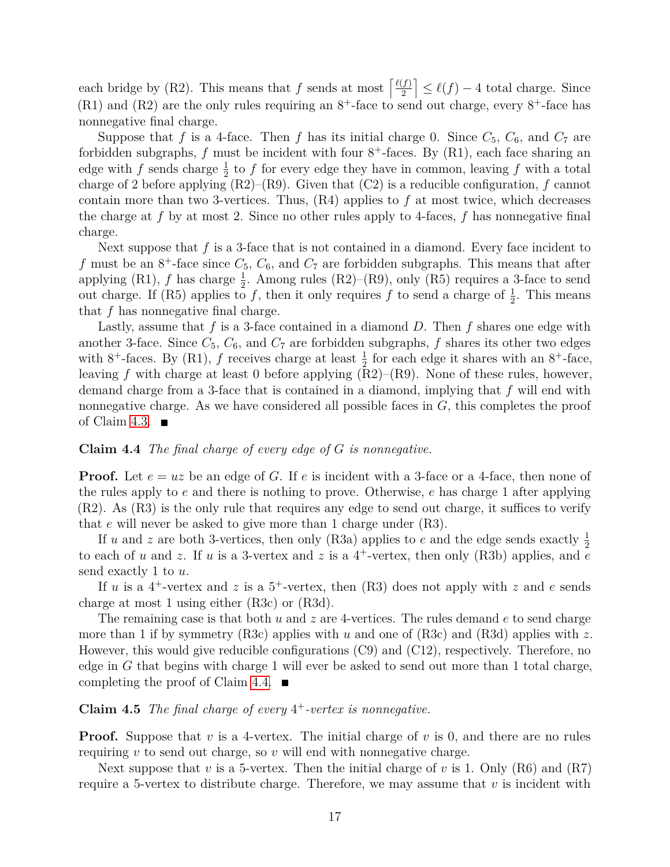each bridge by (R2). This means that *f* sends at most  $\frac{\ell(f)}{2}$ 2  $\leq \ell(f) - 4$  total charge. Since  $(R1)$  and  $(R2)$  are the only rules requiring an  $8^+$ -face to send out charge, every  $8^+$ -face has nonnegative final charge.

Suppose that f is a 4-face. Then f has its initial charge 0. Since  $C_5$ ,  $C_6$ , and  $C_7$  are forbidden subgraphs,  $f$  must be incident with four  $8^+$ -faces. By  $(R1)$ , each face sharing an edge with *f* sends charge  $\frac{1}{2}$  to *f* for every edge they have in common, leaving *f* with a total charge of 2 before applying  $(R2)$ – $(R9)$ . Given that  $(C2)$  is a reducible configuration, *f* cannot contain more than two 3-vertices. Thus, (R4) applies to *f* at most twice, which decreases the charge at *f* by at most 2. Since no other rules apply to 4-faces, *f* has nonnegative final charge.

Next suppose that *f* is a 3-face that is not contained in a diamond. Every face incident to f must be an  $8^+$ -face since  $C_5$ ,  $C_6$ , and  $C_7$  are forbidden subgraphs. This means that after applying  $(R1)$ ,  $f$  has charge  $\frac{1}{2}$ . Among rules  $(R2)$ – $(R9)$ , only  $(R5)$  requires a 3-face to send out charge. If (R5) applies to  $f$ , then it only requires  $f$  to send a charge of  $\frac{1}{2}$ . This means that *f* has nonnegative final charge.

Lastly, assume that  $f$  is a 3-face contained in a diamond  $D$ . Then  $f$  shares one edge with another 3-face. Since  $C_5$ ,  $C_6$ , and  $C_7$  are forbidden subgraphs, f shares its other two edges with 8<sup>+</sup>-faces. By (R1), *f* receives charge at least  $\frac{1}{2}$  for each edge it shares with an 8<sup>+</sup>-face, leaving *f* with charge at least 0 before applying  $(R2)$ – $(R9)$ . None of these rules, however, demand charge from a 3-face that is contained in a diamond, implying that *f* will end with nonnegative charge. As we have considered all possible faces in  $G$ , this completes the proof of Claim [4.3.](#page-15-0)  $\blacksquare$ 

#### <span id="page-16-0"></span>**Claim 4.4** *The final charge of every edge of G is nonnegative.*

**Proof.** Let  $e = uz$  be an edge of *G*. If *e* is incident with a 3-face or a 4-face, then none of the rules apply to *e* and there is nothing to prove. Otherwise, *e* has charge 1 after applying (R2). As (R3) is the only rule that requires any edge to send out charge, it suffices to verify that *e* will never be asked to give more than 1 charge under (R3).

If *u* and *z* are both 3-vertices, then only (R3a) applies to *e* and the edge sends exactly  $\frac{1}{2}$ to each of *u* and *z*. If *u* is a 3-vertex and *z* is a 4<sup>+</sup>-vertex, then only (R3b) applies, and  $\overline{e}$ send exactly 1 to *u*.

If *u* is a 4<sup>+</sup>-vertex and *z* is a 5<sup>+</sup>-vertex, then (R3) does not apply with *z* and *e* sends charge at most 1 using either (R3c) or (R3d).

The remaining case is that both *u* and *z* are 4-vertices. The rules demand *e* to send charge more than 1 if by symmetry (R3c) applies with *u* and one of (R3c) and (R3d) applies with *z*. However, this would give reducible configurations (C9) and (C12), respectively. Therefore, no edge in  $G$  that begins with charge 1 will ever be asked to send out more than 1 total charge, completing the proof of Claim [4.4.](#page-16-0)  $\blacksquare$ 

### <span id="page-16-1"></span>**Claim 4.5** *The final charge of every* 4 <sup>+</sup>*-vertex is nonnegative.*

**Proof.** Suppose that *v* is a 4-vertex. The initial charge of *v* is 0, and there are no rules requiring *v* to send out charge, so *v* will end with nonnegative charge.

Next suppose that *v* is a 5-vertex. Then the initial charge of *v* is 1. Only (R6) and (R7) require a 5-vertex to distribute charge. Therefore, we may assume that *v* is incident with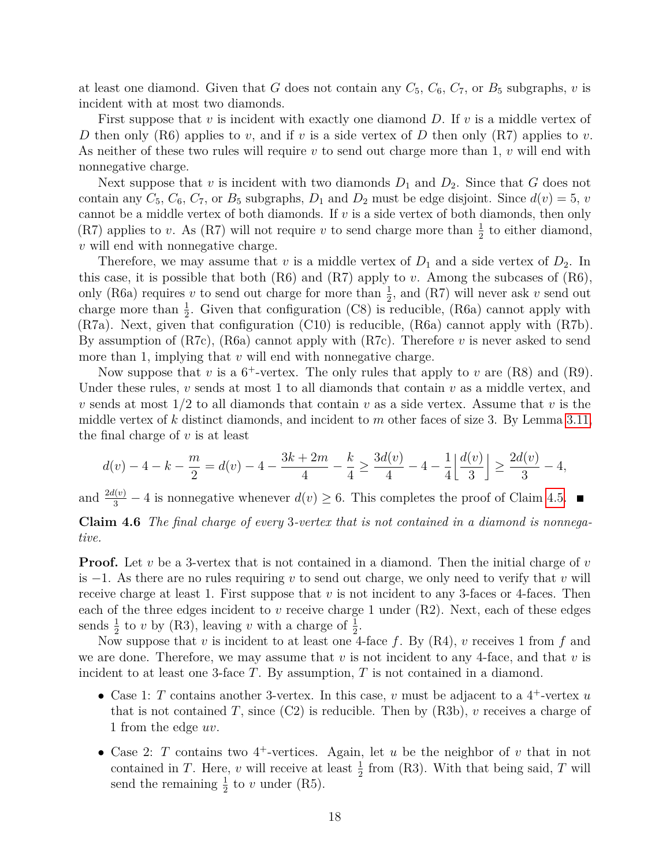at least one diamond. Given that *G* does not contain any  $C_5$ ,  $C_6$ ,  $C_7$ , or  $B_5$  subgraphs, *v* is incident with at most two diamonds.

First suppose that *v* is incident with exactly one diamond *D*. If *v* is a middle vertex of *D* then only (R6) applies to *v*, and if *v* is a side vertex of *D* then only (R7) applies to *v*. As neither of these two rules will require *v* to send out charge more than 1, *v* will end with nonnegative charge.

Next suppose that *v* is incident with two diamonds  $D_1$  and  $D_2$ . Since that *G* does not contain any  $C_5$ ,  $C_6$ ,  $C_7$ , or  $B_5$  subgraphs,  $D_1$  and  $D_2$  must be edge disjoint. Since  $d(v) = 5$ , *v* cannot be a middle vertex of both diamonds. If *v* is a side vertex of both diamonds, then only (R7) applies to *v*. As (R7) will not require *v* to send charge more than  $\frac{1}{2}$  to either diamond, *v* will end with nonnegative charge.

Therefore, we may assume that  $v$  is a middle vertex of  $D_1$  and a side vertex of  $D_2$ . In this case, it is possible that both (R6) and (R7) apply to *v*. Among the subcases of (R6), only (R6a) requires *v* to send out charge for more than  $\frac{1}{2}$ , and (R7) will never ask *v* send out charge more than  $\frac{1}{2}$ . Given that configuration (C8) is reducible, (R6a) cannot apply with (R7a). Next, given that configuration (C10) is reducible, (R6a) cannot apply with (R7b). By assumption of (R7c), (R6a) cannot apply with (R7c). Therefore *v* is never asked to send more than 1, implying that *v* will end with nonnegative charge.

Now suppose that  $v$  is a  $6^+$ -vertex. The only rules that apply to  $v$  are  $(R8)$  and  $(R9)$ . Under these rules, *v* sends at most 1 to all diamonds that contain *v* as a middle vertex, and *v* sends at most 1*/*2 to all diamonds that contain *v* as a side vertex. Assume that *v* is the middle vertex of *k* distinct diamonds, and incident to *m* other faces of size 3. By Lemma [3.11,](#page-9-1) the final charge of *v* is at least

$$
d(v) - 4 - k - \frac{m}{2} = d(v) - 4 - \frac{3k + 2m}{4} - \frac{k}{4} \ge \frac{3d(v)}{4} - 4 - \frac{1}{4} \left\lfloor \frac{d(v)}{3} \right\rfloor \ge \frac{2d(v)}{3} - 4,
$$

<span id="page-17-0"></span>and  $\frac{2d(v)}{3} - 4$  is nonnegative whenever  $d(v) \ge 6$ . This completes the proof of Claim [4.5.](#page-16-1) **Claim 4.6** *The final charge of every* 3*-vertex that is not contained in a diamond is nonnega-*

*tive.*

**Proof.** Let *v* be a 3-vertex that is not contained in a diamond. Then the initial charge of *v* is −1. As there are no rules requiring *v* to send out charge, we only need to verify that *v* will receive charge at least 1. First suppose that *v* is not incident to any 3-faces or 4-faces. Then each of the three edges incident to *v* receive charge 1 under (R2). Next, each of these edges sends  $\frac{1}{2}$  to *v* by (R3), leaving *v* with a charge of  $\frac{1}{2}$ .

Now suppose that *v* is incident to at least one 4-face *f*. By (R4), *v* receives 1 from *f* and we are done. Therefore, we may assume that *v* is not incident to any 4-face, and that *v* is incident to at least one 3-face *T*. By assumption, *T* is not contained in a diamond.

- Case 1: *T* contains another 3-vertex. In this case,  $v$  must be adjacent to a  $4^+$ -vertex  $u$ that is not contained *T*, since  $(C2)$  is reducible. Then by  $(R3b)$ , *v* receives a charge of 1 from the edge *uv*.
- Case 2: *T* contains two 4<sup>+</sup>-vertices. Again, let *u* be the neighbor of *v* that in not contained in *T*. Here, *v* will receive at least  $\frac{1}{2}$  from (R3). With that being said, *T* will send the remaining  $\frac{1}{2}$  to *v* under (R5).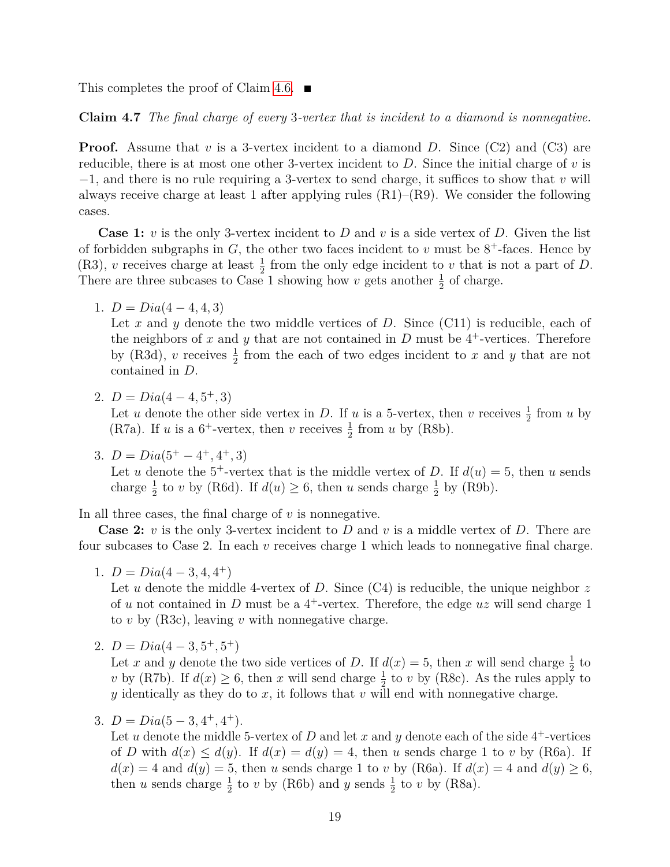<span id="page-18-0"></span>This completes the proof of Claim [4.6.](#page-17-0)  $\blacksquare$ 

**Claim 4.7** *The final charge of every* 3*-vertex that is incident to a diamond is nonnegative.*

**Proof.** Assume that *v* is a 3-vertex incident to a diamond *D*. Since (C2) and (C3) are reducible, there is at most one other 3-vertex incident to *D*. Since the initial charge of *v* is −1, and there is no rule requiring a 3-vertex to send charge, it suffices to show that *v* will always receive charge at least 1 after applying rules  $(R1)$ – $(R9)$ . We consider the following cases.

**Case 1:** *v* is the only 3-vertex incident to *D* and *v* is a side vertex of *D*. Given the list of forbidden subgraphs in  $G$ , the other two faces incident to  $v$  must be  $8^+$ -faces. Hence by (R3), *v* receives charge at least  $\frac{1}{2}$  from the only edge incident to *v* that is not a part of *D*. There are three subcases to Case 1 showing how *v* gets another  $\frac{1}{2}$  of charge.

1.  $D = Dia(4-4, 4, 3)$ 

Let x and y denote the two middle vertices of D. Since (C11) is reducible, each of the neighbors of  $x$  and  $y$  that are not contained in  $D$  must be  $4^+$ -vertices. Therefore by (R3d), *v* receives  $\frac{1}{2}$  from the each of two edges incident to *x* and *y* that are not contained in *D*.

2.  $D = Dia(4-4, 5^+, 3)$ 

Let *u* denote the other side vertex in *D*. If *u* is a 5-vertex, then *v* receives  $\frac{1}{2}$  from *u* by (R7a). If *u* is a  $6^+$ -vertex, then *v* receives  $\frac{1}{2}$  from *u* by (R8b).

3.  $D = Dia(5^+ - 4^+, 4^+, 3)$ 

Let *u* denote the 5<sup>+</sup>-vertex that is the middle vertex of *D*. If  $d(u) = 5$ , then *u* sends charge  $\frac{1}{2}$  to *v* by (R6d). If  $d(u) \ge 6$ , then *u* sends charge  $\frac{1}{2}$  by (R9b).

In all three cases, the final charge of *v* is nonnegative.

**Case 2:** *v* is the only 3-vertex incident to *D* and *v* is a middle vertex of *D*. There are four subcases to Case 2. In each *v* receives charge 1 which leads to nonnegative final charge.

1.  $D = Dia(4-3, 4, 4^+)$ 

Let *u* denote the middle 4-vertex of *D*. Since (C4) is reducible, the unique neighbor *z* of  $u$  not contained in  $D$  must be a  $4^+$ -vertex. Therefore, the edge  $uz$  will send charge 1 to *v* by (R3c), leaving *v* with nonnegative charge.

2.  $D = Dia(4-3, 5^+, 5^+)$ 

Let *x* and *y* denote the two side vertices of *D*. If  $d(x) = 5$ , then *x* will send charge  $\frac{1}{2}$  to *v* by (R7b). If  $d(x) \geq 6$ , then *x* will send charge  $\frac{1}{2}$  to *v* by (R8c). As the rules apply to *y* identically as they do to *x*, it follows that *v* will end with nonnegative charge.

3. 
$$
D = Dia(5-3, 4^+, 4^+).
$$

Let *u* denote the middle 5-vertex of *D* and let *x* and *y* denote each of the side  $4^+$ -vertices of *D* with  $d(x) \leq d(y)$ . If  $d(x) = d(y) = 4$ , then *u* sends charge 1 to *v* by (R6a). If  $d(x) = 4$  and  $d(y) = 5$ , then *u* sends charge 1 to *v* by (R6a). If  $d(x) = 4$  and  $d(y) \ge 6$ , then *u* sends charge  $\frac{1}{2}$  to *v* by (R6b) and *y* sends  $\frac{1}{2}$  to *v* by (R8a).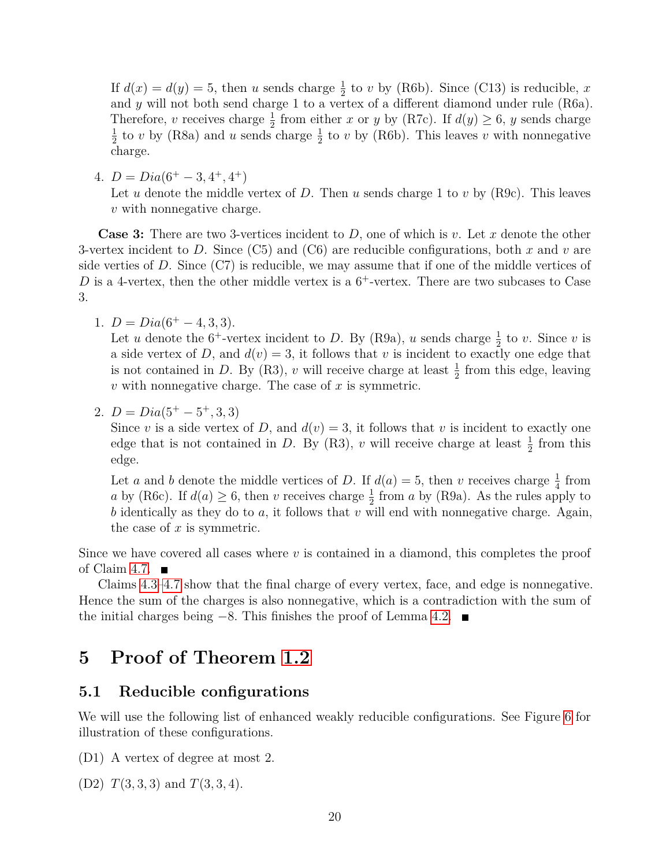If  $d(x) = d(y) = 5$ , then *u* sends charge  $\frac{1}{2}$  to *v* by (R6b). Since (C13) is reducible, *x* and *y* will not both send charge 1 to a vertex of a different diamond under rule (R6a). Therefore, *v* receives charge  $\frac{1}{2}$  from either *x* or *y* by (R7c). If  $d(y) \ge 6$ , *y* sends charge 1  $\frac{1}{2}$  to *v* by (R8a) and *u* sends charge  $\frac{1}{2}$  to *v* by (R6b). This leaves *v* with nonnegative charge.

4.  $D = Dia(6^+ - 3, 4^+, 4^+)$ Let *u* denote the middle vertex of *D*. Then *u* sends charge 1 to *v* by (R9c). This leaves

**Case 3:** There are two 3-vertices incident to *D*, one of which is *v*. Let *x* denote the other 3-vertex incident to *D*. Since (C5) and (C6) are reducible configurations, both *x* and *v* are side verties of  $D$ . Since  $(C7)$  is reducible, we may assume that if one of the middle vertices of D is a 4-vertex, then the other middle vertex is a  $6^+$ -vertex. There are two subcases to Case 3.

1.  $D = Dia(6^+ - 4, 3, 3).$ 

*v* with nonnegative charge.

Let *u* denote the 6<sup>+</sup>-vertex incident to *D*. By (R9a), *u* sends charge  $\frac{1}{2}$  to *v*. Since *v* is a side vertex of *D*, and  $d(v) = 3$ , it follows that *v* is incident to exactly one edge that is not contained in *D*. By (R3), *v* will receive charge at least  $\frac{1}{2}$  from this edge, leaving *v* with nonnegative charge. The case of *x* is symmetric.

2.  $D = Dia(5^+ - 5^+, 3, 3)$ 

Since *v* is a side vertex of *D*, and  $d(v) = 3$ , it follows that *v* is incident to exactly one edge that is not contained in *D*. By (R3), *v* will receive charge at least  $\frac{1}{2}$  from this edge.

Let *a* and *b* denote the middle vertices of *D*. If  $d(a) = 5$ , then *v* receives charge  $\frac{1}{4}$  from *a* by (R6c). If  $d(a) \geq 6$ , then *v* receives charge  $\frac{1}{2}$  from *a* by (R9a). As the rules apply to *b* identically as they do to *a*, it follows that *v* will end with nonnegative charge. Again, the case of *x* is symmetric.

Since we have covered all cases where *v* is contained in a diamond, this completes the proof of Claim [4.7.](#page-18-0)  $\blacksquare$ 

Claims [4.3–](#page-15-0)[4.7](#page-18-0) show that the final charge of every vertex, face, and edge is nonnegative. Hence the sum of the charges is also nonnegative, which is a contradiction with the sum of the initial charges being −8*.* This finishes the proof of Lemma [4.2.](#page-13-0)

## **5 Proof of Theorem [1.2](#page-2-2)**

### **5.1 Reducible configurations**

We will use the following list of enhanced weakly reducible configurations. See Figure [6](#page-22-0) for illustration of these configurations.

(D1) A vertex of degree at most 2.

(D2) *T*(3*,* 3*,* 3) and *T*(3*,* 3*,* 4).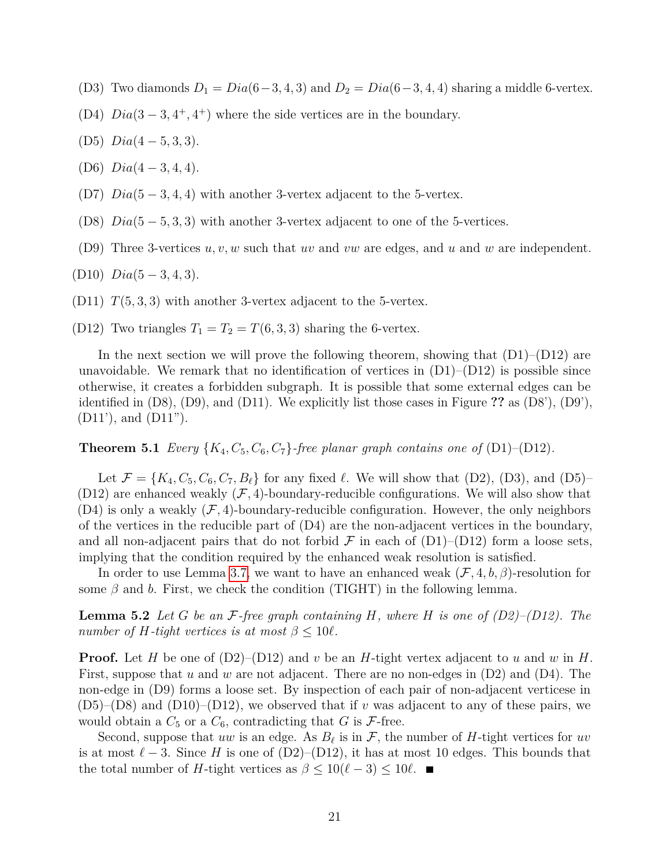- (D3) Two diamonds  $D_1 = Dia(6-3, 4, 3)$  and  $D_2 = Dia(6-3, 4, 4)$  sharing a middle 6-vertex.
- (D4)  $Dia(3-3,4^+,4^+)$  where the side vertices are in the boundary.
- (D5) *Dia*(4 − 5*,* 3*,* 3).
- (D6) *Dia*(4 − 3*,* 4*,* 4).
- (D7) *Dia*(5 − 3*,* 4*,* 4) with another 3-vertex adjacent to the 5-vertex.
- (D8) *Dia*(5 − 5*,* 3*,* 3) with another 3-vertex adjacent to one of the 5-vertices.
- (D9) Three 3-vertices *u, v, w* such that *uv* and *vw* are edges, and *u* and *w* are independent.
- (D10) *Dia*(5 − 3*,* 4*,* 3).
- (D11)  $T(5,3,3)$  with another 3-vertex adjacent to the 5-vertex.
- (D12) Two triangles  $T_1 = T_2 = T(6, 3, 3)$  sharing the 6-vertex.

In the next section we will prove the following theorem, showing that  $(D1)$ – $(D12)$  are unavoidable. We remark that no identification of vertices in  $(D1)$ – $(D12)$  is possible since otherwise, it creates a forbidden subgraph. It is possible that some external edges can be identified in (D8), (D9), and (D11). We explicitly list those cases in Figure **??** as (D8'), (D9'), (D11'), and (D11").

#### **Theorem 5.1** *Every*  $\{K_4, C_5, C_6, C_7\}$ *-free planar graph contains one of* (D1)–(D12)*.*

Let  $\mathcal{F} = \{K_4, C_5, C_6, C_7, B_\ell\}$  for any fixed  $\ell$ . We will show that (D2), (D3), and (D5)– (D12) are enhanced weakly  $(\mathcal{F}, 4)$ -boundary-reducible configurations. We will also show that  $(D4)$  is only a weakly  $(F, 4)$ -boundary-reducible configuration. However, the only neighbors of the vertices in the reducible part of  $(D4)$  are the non-adjacent vertices in the boundary, and all non-adjacent pairs that do not forbid  $\mathcal F$  in each of  $(D1)$ – $(D12)$  form a loose sets, implying that the condition required by the enhanced weak resolution is satisfied.

In order to use Lemma [3.7,](#page-7-0) we want to have an enhanced weak (F*,* 4*, b, β*)-resolution for some  $\beta$  and  $b$ . First, we check the condition (TIGHT) in the following lemma.

**Lemma 5.2** *Let G be an* F*-free graph containing H, where H is one of (D2)–(D12). The number of H-tight vertices is at most*  $\beta \leq 10\ell$ *.* 

**Proof.** Let *H* be one of  $(D2)$ – $(D12)$  and *v* be an *H*-tight vertex adjacent to *u* and *w* in *H*. First, suppose that *u* and *w* are not adjacent. There are no non-edges in  $(D2)$  and  $(D4)$ . The non-edge in (D9) forms a loose set. By inspection of each pair of non-adjacent verticese in  $(D5)$ – $(D8)$  and  $(D10)$ – $(D12)$ , we observed that if *v* was adjacent to any of these pairs, we would obtain a  $C_5$  or a  $C_6$ , contradicting that  $G$  is  $\mathcal{F}\text{-free}$ .

Second, suppose that *uw* is an edge. As  $B_{\ell}$  is in  $\mathcal{F}$ , the number of *H*-tight vertices for *uv* is at most  $\ell - 3$ . Since *H* is one of (D2)–(D12), it has at most 10 edges. This bounds that the total number of *H*-tight vertices as  $\beta \leq 10(\ell - 3) \leq 10\ell$ .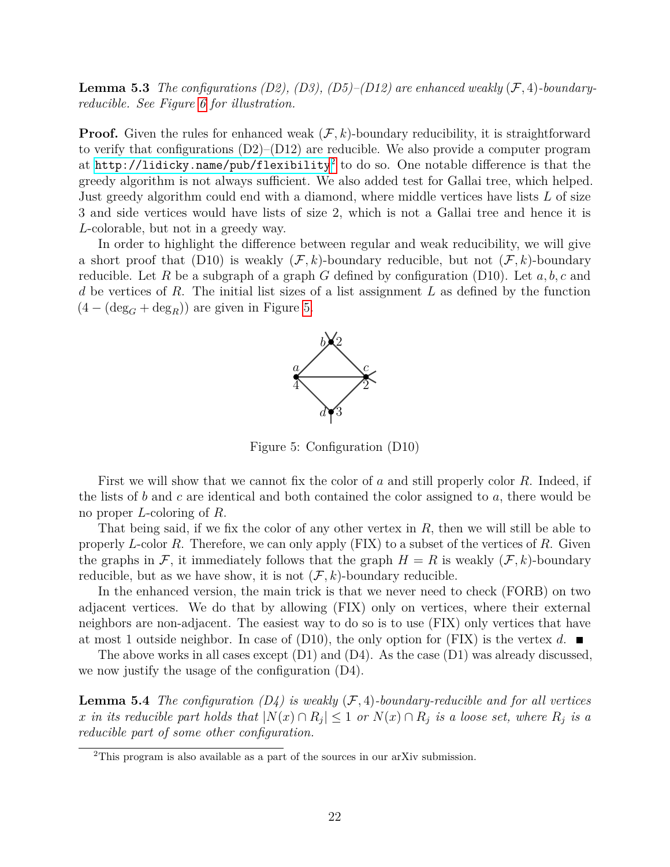**Lemma 5.3** *The configurations (D2), (D3), (D5)–(D12) are enhanced weakly*  $(F, 4)$ -boundary*reducible. See Figure [6](#page-22-0) for illustration.*

**Proof.** Given the rules for enhanced weak  $(F, k)$ -boundary reducibility, it is straightforward to verify that configurations  $(D2)$ – $(D12)$  are reducible. We also provide a computer program at <code><http://lidicky.name/pub/flexibility> $^2$  $^2$ </code> to do so. One notable difference is that the greedy algorithm is not always sufficient. We also added test for Gallai tree, which helped. Just greedy algorithm could end with a diamond, where middle vertices have lists *L* of size 3 and side vertices would have lists of size 2, which is not a Gallai tree and hence it is *L*-colorable, but not in a greedy way.

In order to highlight the difference between regular and weak reducibility, we will give a short proof that (D10) is weakly  $(\mathcal{F}, k)$ -boundary reducible, but not  $(\mathcal{F}, k)$ -boundary reducible. Let *R* be a subgraph of a graph *G* defined by configuration (D10). Let *a, b, c* and *d* be vertices of *R*. The initial list sizes of a list assignment *L* as defined by the function  $(4 - (\deg_G + \deg_R))$  are given in Figure [5.](#page-21-1)

<span id="page-21-1"></span>

Figure 5: Configuration (D10)

First we will show that we cannot fix the color of *a* and still properly color *R*. Indeed, if the lists of *b* and *c* are identical and both contained the color assigned to *a*, there would be no proper *L*-coloring of *R*.

That being said, if we fix the color of any other vertex in *R*, then we will still be able to properly *L*-color *R*. Therefore, we can only apply (FIX) to a subset of the vertices of *R*. Given the graphs in F, it immediately follows that the graph  $H = R$  is weakly  $(F, k)$ -boundary reducible, but as we have show, it is not  $(\mathcal{F}, k)$ -boundary reducible.

In the enhanced version, the main trick is that we never need to check (FORB) on two adjacent vertices. We do that by allowing (FIX) only on vertices, where their external neighbors are non-adjacent. The easiest way to do so is to use (FIX) only vertices that have at most 1 outside neighbor. In case of  $(D10)$ , the only option for  $(FIX)$  is the vertex *d*.

The above works in all cases except  $(D1)$  and  $(D4)$ . As the case  $(D1)$  was already discussed, we now justify the usage of the configuration (D4).

**Lemma 5.4** *The configuration (D4) is weakly* (F*,* 4)*-boundary-reducible and for all vertices x* in its reducible part holds that  $|N(x) \cap R_j| \leq 1$  or  $N(x) \cap R_j$  is a loose set, where  $R_j$  is a *reducible part of some other configuration.*

<span id="page-21-0"></span><sup>2</sup>This program is also available as a part of the sources in our arXiv submission.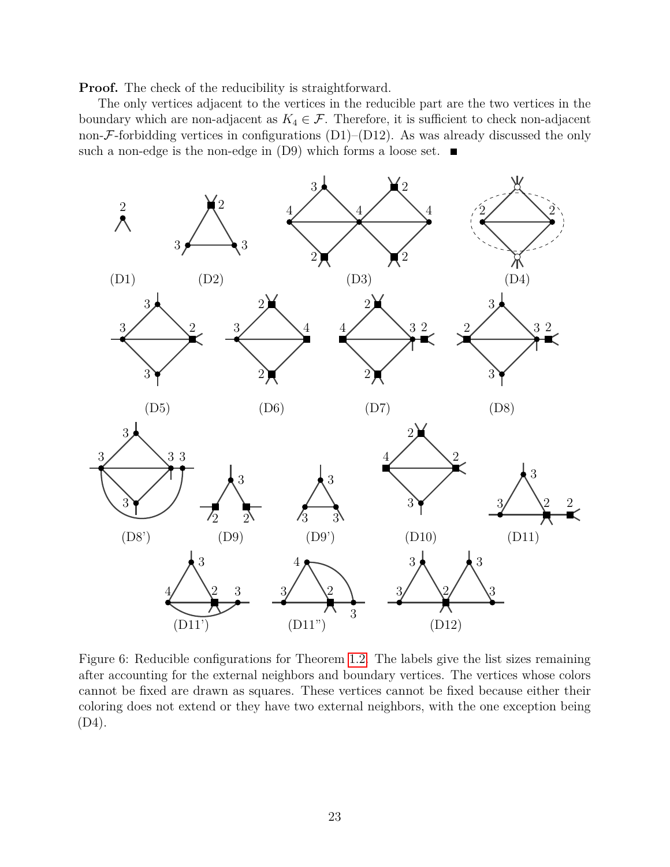**Proof.** The check of the reducibility is straightforward.

The only vertices adjacent to the vertices in the reducible part are the two vertices in the boundary which are non-adjacent as  $K_4 \in \mathcal{F}$ . Therefore, it is sufficient to check non-adjacent non- $\mathcal F$ -forbidding vertices in configurations (D1)–(D12). As was already discussed the only such a non-edge is the non-edge in  $(D9)$  which forms a loose set.



<span id="page-22-0"></span>Figure 6: Reducible configurations for Theorem [1.2.](#page-2-2) The labels give the list sizes remaining after accounting for the external neighbors and boundary vertices. The vertices whose colors cannot be fixed are drawn as squares. These vertices cannot be fixed because either their coloring does not extend or they have two external neighbors, with the one exception being (D4).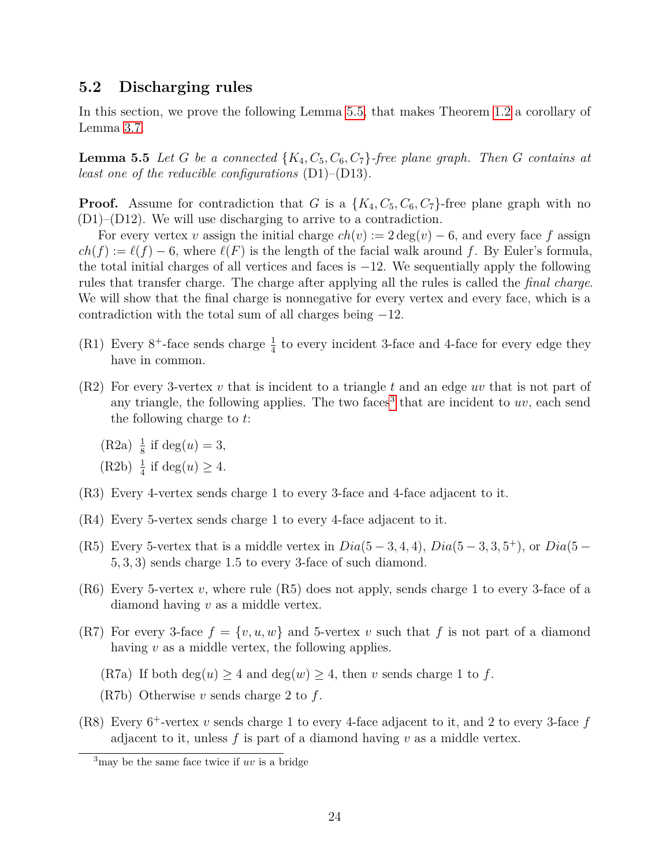### **5.2 Discharging rules**

In this section, we prove the following Lemma [5.5,](#page-23-0) that makes Theorem [1.2](#page-2-2) a corollary of Lemma [3.7.](#page-7-0)

<span id="page-23-0"></span>**Lemma 5.5** *Let G be a connected*  $\{K_4, C_5, C_6, C_7\}$ -free plane graph. Then *G contains at least one of the reducible configurations* (D1)–(D13)*.*

**Proof.** Assume for contradiction that *G* is a  $\{K_4, C_5, C_6, C_7\}$ -free plane graph with no (D1)–(D12). We will use discharging to arrive to a contradiction.

For every vertex *v* assign the initial charge  $ch(v) := 2 \deg(v) - 6$ , and every face f assign  $ch(f) := \ell(f) - 6$ , where  $\ell(F)$  is the length of the facial walk around f. By Euler's formula, the total initial charges of all vertices and faces is  $-12$ . We sequentially apply the following rules that transfer charge. The charge after applying all the rules is called the *final charge*. We will show that the final charge is nonnegative for every vertex and every face, which is a contradiction with the total sum of all charges being  $-12$ .

- (R1) Every  $8^+$ -face sends charge  $\frac{1}{4}$  to every incident 3-face and 4-face for every edge they have in common.
- (R2) For every 3-vertex *v* that is incident to a triangle *t* and an edge *uv* that is not part of any triangle, the following applies. The two faces<sup>[3](#page-23-1)</sup> that are incident to  $uv$ , each send the following charge to *t*:
	- $(R2a) \frac{1}{8}$  if  $deg(u) = 3$ ,
	- (R2b)  $\frac{1}{4}$  if deg(*u*)  $\geq 4$ .
- (R3) Every 4-vertex sends charge 1 to every 3-face and 4-face adjacent to it.
- (R4) Every 5-vertex sends charge 1 to every 4-face adjacent to it.
- (R5) Every 5-vertex that is a middle vertex in  $Dia(5-3, 4, 4)$ ,  $Dia(5-3, 3, 5^+)$ , or  $Dia(5-$ 5*,* 3*,* 3) sends charge 1.5 to every 3-face of such diamond.
- (R6) Every 5-vertex *v*, where rule (R5) does not apply, sends charge 1 to every 3-face of a diamond having *v* as a middle vertex.
- (R7) For every 3-face  $f = \{v, u, w\}$  and 5-vertex *v* such that f is not part of a diamond having *v* as a middle vertex, the following applies.
	- (R7a) If both  $deg(u) \geq 4$  and  $deg(w) \geq 4$ , then *v* sends charge 1 to *f*.
	- (R7b) Otherwise *v* sends charge 2 to *f*.
- (R8) Every 6 <sup>+</sup>-vertex *v* sends charge 1 to every 4-face adjacent to it, and 2 to every 3-face *f* adjacent to it, unless *f* is part of a diamond having *v* as a middle vertex.

<span id="page-23-1"></span><sup>3</sup>may be the same face twice if *uv* is a bridge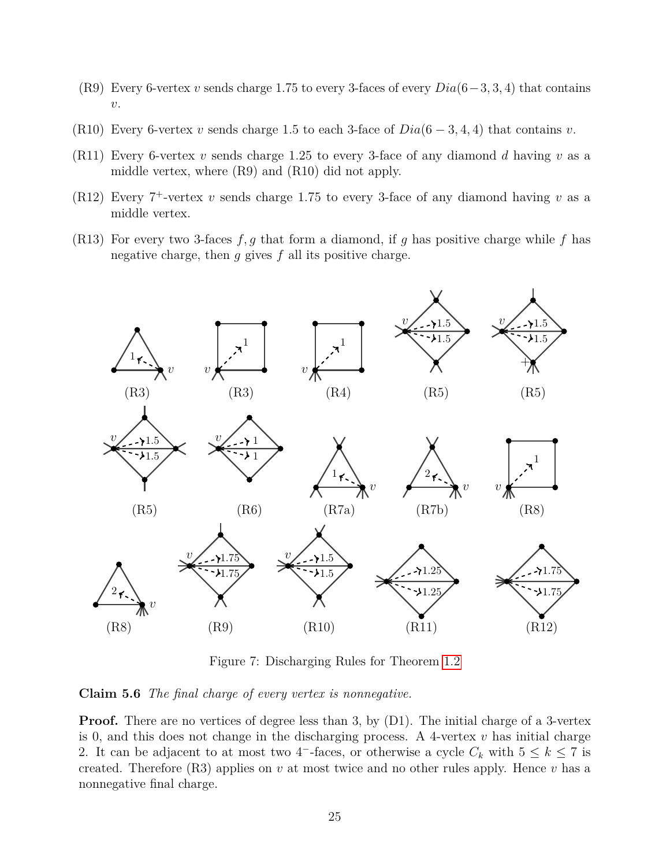- (R9) Every 6-vertex *v* sends charge 1*.*75 to every 3-faces of every *Dia*(6−3*,* 3*,* 4) that contains *v*.
- (R10) Every 6-vertex *v* sends charge 1.5 to each 3-face of  $Dia(6-3,4,4)$  that contains *v*.
- (R11) Every 6-vertex *v* sends charge 1.25 to every 3-face of any diamond *d* having *v* as a middle vertex, where (R9) and (R10) did not apply.
- (R12) Every  $7^+$ -vertex  $v$  sends charge 1.75 to every 3-face of any diamond having  $v$  as a middle vertex.
- (R13) For every two 3-faces *f, g* that form a diamond, if *g* has positive charge while *f* has negative charge, then *g* gives *f* all its positive charge.



Figure 7: Discharging Rules for Theorem [1.2](#page-2-2)

<span id="page-24-0"></span>**Claim 5.6** *The final charge of every vertex is nonnegative.*

**Proof.** There are no vertices of degree less than 3, by (D1). The initial charge of a 3-vertex is 0, and this does not change in the discharging process. A 4-vertex  $v$  has initial charge 2. It can be adjacent to at most two 4<sup>-</sup>-faces, or otherwise a cycle  $C_k$  with  $5 \leq k \leq 7$  is created. Therefore (R3) applies on *v* at most twice and no other rules apply. Hence *v* has a nonnegative final charge.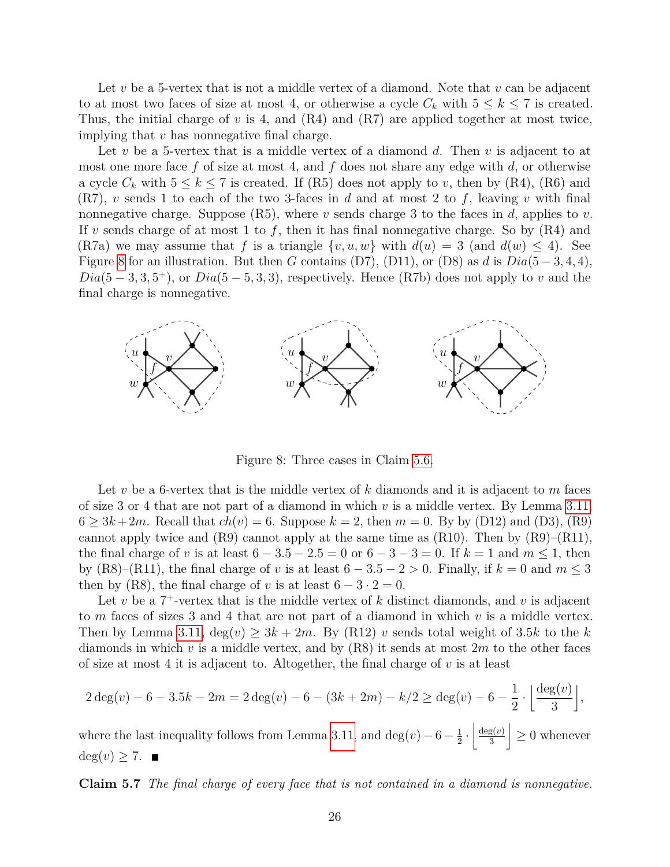Let *v* be a 5-vertex that is not a middle vertex of a diamond. Note that *v* can be adjacent to at most two faces of size at most 4, or otherwise a cycle  $C_k$  with  $5 \leq k \leq 7$  is created. Thus, the initial charge of *v* is 4, and (R4) and (R7) are applied together at most twice, implying that *v* has nonnegative final charge.

Let *v* be a 5-vertex that is a middle vertex of a diamond *d*. Then *v* is adjacent to at most one more face *f* of size at most 4, and *f* does not share any edge with *d*, or otherwise a cycle  $C_k$  with  $5 \leq k \leq 7$  is created. If (R5) does not apply to *v*, then by (R4), (R6) and (R7), *v* sends 1 to each of the two 3-faces in *d* and at most 2 to *f*, leaving *v* with final nonnegative charge. Suppose (R5), where *v* sends charge 3 to the faces in *d*, applies to *v*. If *v* sends charge of at most 1 to *f*, then it has final nonnegative charge. So by (R4) and (R7a) we may assume that *f* is a triangle  $\{v, u, w\}$  with  $d(u) = 3$  (and  $d(w) \le 4$ ). See Figure [8](#page-25-0) for an illustration. But then *G* contains (D7), (D11), or (D8) as *d* is  $Dia(5-3,4,4)$ ,  $Dia(5-3,3,5^+)$ , or  $Dia(5-5,3,3)$ , respectively. Hence (R7b) does not apply to *v* and the final charge is nonnegative.



Figure 8: Three cases in Claim [5.6.](#page-24-0)

<span id="page-25-0"></span>Let *v* be a 6-vertex that is the middle vertex of *k* diamonds and it is adjacent to *m* faces of size 3 or 4 that are not part of a diamond in which *v* is a middle vertex. By Lemma [3.11,](#page-9-1) 6  $> 3k + 2m$ . Recall that  $ch(v) = 6$ . Suppose  $k = 2$ , then  $m = 0$ . By by (D12) and (D3), (R9) cannot apply twice and  $(R9)$  cannot apply at the same time as  $(R10)$ . Then by  $(R9)$ – $(R11)$ , the final charge of *v* is at least  $6 - 3.5 - 2.5 = 0$  or  $6 - 3 - 3 = 0$ . If  $k = 1$  and  $m \le 1$ , then by (R8)–(R11), the final charge of *v* is at least  $6 - 3.5 - 2 > 0$ . Finally, if  $k = 0$  and  $m \le 3$ then by (R8), the final charge of *v* is at least  $6 - 3 \cdot 2 = 0$ .

Let  $v$  be a  $7^+$ -vertex that is the middle vertex of  $k$  distinct diamonds, and  $v$  is adjacent to *m* faces of sizes 3 and 4 that are not part of a diamond in which *v* is a middle vertex. Then by Lemma [3.11,](#page-9-1)  $\deg(v) \geq 3k + 2m$ . By (R12) *v* sends total weight of 3.5*k* to the *k* diamonds in which *v* is a middle vertex, and by (R8) it sends at most 2*m* to the other faces of size at most 4 it is adjacent to. Altogether, the final charge of *v* is at least

$$
2\deg(v) - 6 - 3.5k - 2m = 2\deg(v) - 6 - (3k + 2m) - k/2 \ge \deg(v) - 6 - \frac{1}{2} \cdot \left\lfloor \frac{\deg(v)}{3} \right\rfloor,
$$

where the last inequality follows from Lemma [3.11,](#page-9-1) and  $\deg(v) - 6 - \frac{1}{2}$  $\frac{1}{2} \cdot \left( \frac{\deg(v)}{3} \right)$ 3  $\vert \geq 0$  whenever  $deg(v) \geq 7.$ 

<span id="page-25-1"></span>**Claim 5.7** *The final charge of every face that is not contained in a diamond is nonnegative.*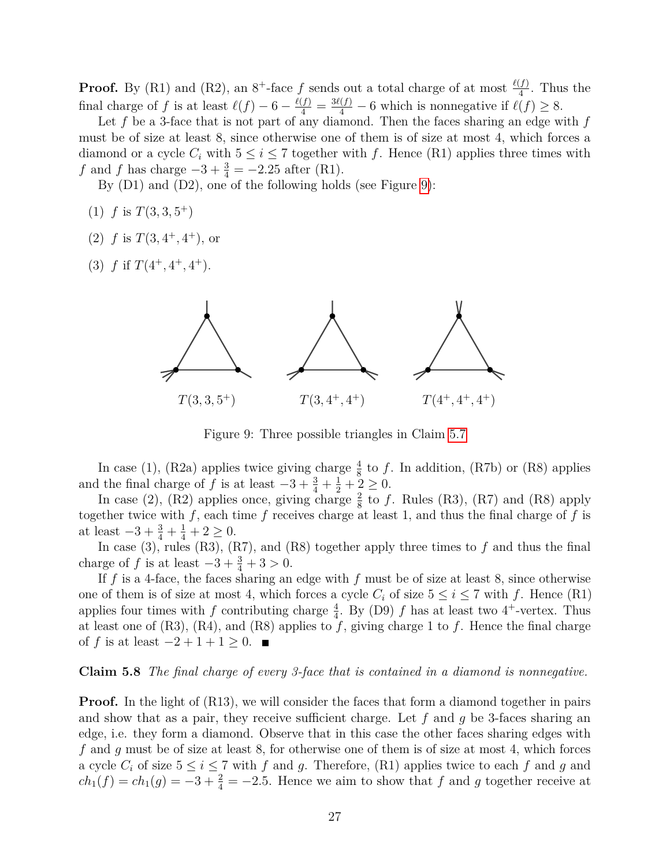**Proof.** By (R1) and (R2), an  $8^+$ -face f sends out a total charge of at most  $\frac{\ell(f)}{4}$ . Thus the final charge of *f* is at least  $\ell(f) - 6 - \frac{\ell(f)}{4} = \frac{3\ell(f)}{4} - 6$  which is nonnegative if  $\ell(f) \ge 8$ .

Let *f* be a 3-face that is not part of any diamond. Then the faces sharing an edge with *f* must be of size at least 8, since otherwise one of them is of size at most 4, which forces a diamond or a cycle  $C_i$  with  $5 \leq i \leq 7$  together with f. Hence (R1) applies three times with *f* and *f* has charge  $-3 + \frac{3}{4} = -2.25$  after (R1).

By (D1) and (D2), one of the following holds (see Figure [9\)](#page-26-0):

- $(1)$  *f* is  $T(3,3,5^+)$
- (2)  $f$  is  $T(3, 4^+, 4^+)$ , or
- (3)  $f$  if  $T(4^+, 4^+, 4^+).$



<span id="page-26-0"></span>Figure 9: Three possible triangles in Claim [5.7](#page-25-1)

In case (1), (R2a) applies twice giving charge  $\frac{4}{8}$  to f. In addition, (R7b) or (R8) applies and the final charge of *f* is at least  $-3 + \frac{3}{4} + \frac{1}{2} + \frac{2}{3} \ge 0$ .

In case (2), (R2) applies once, giving charge  $\frac{2}{8}$  to f. Rules (R3), (R7) and (R8) apply together twice with  $f$ , each time  $f$  receives charge at least 1, and thus the final charge of  $f$  is at least  $-3 + \frac{3}{4} + \frac{1}{4} + 2 \ge 0$ .

In case (3), rules (R3), (R7), and (R8) together apply three times to *f* and thus the final charge of *f* is at least  $-3 + \frac{3}{4} + 3 > 0$ .

If *f* is a 4-face, the faces sharing an edge with *f* must be of size at least 8, since otherwise one of them is of size at most 4, which forces a cycle  $C_i$  of size  $5 \leq i \leq 7$  with f. Hence (R1) applies four times with *f* contributing charge  $\frac{4}{4}$ . By (D9) *f* has at least two 4<sup>+</sup>-vertex. Thus at least one of  $(R3)$ ,  $(R4)$ , and  $(R8)$  applies to  $f$ , giving charge 1 to  $f$ . Hence the final charge of *f* is at least  $-2 + 1 + 1 \ge 0$ . ■

#### <span id="page-26-1"></span>**Claim 5.8** *The final charge of every 3-face that is contained in a diamond is nonnegative.*

**Proof.** In the light of (R13), we will consider the faces that form a diamond together in pairs and show that as a pair, they receive sufficient charge. Let *f* and *g* be 3-faces sharing an edge, i.e. they form a diamond. Observe that in this case the other faces sharing edges with *f* and *g* must be of size at least 8, for otherwise one of them is of size at most 4, which forces a cycle  $C_i$  of size  $5 \le i \le 7$  with f and g. Therefore, (R1) applies twice to each f and g and  $ch_1(f) = ch_1(g) = -3 + \frac{2}{4} = -2.5$ . Hence we aim to show that *f* and *g* together receive at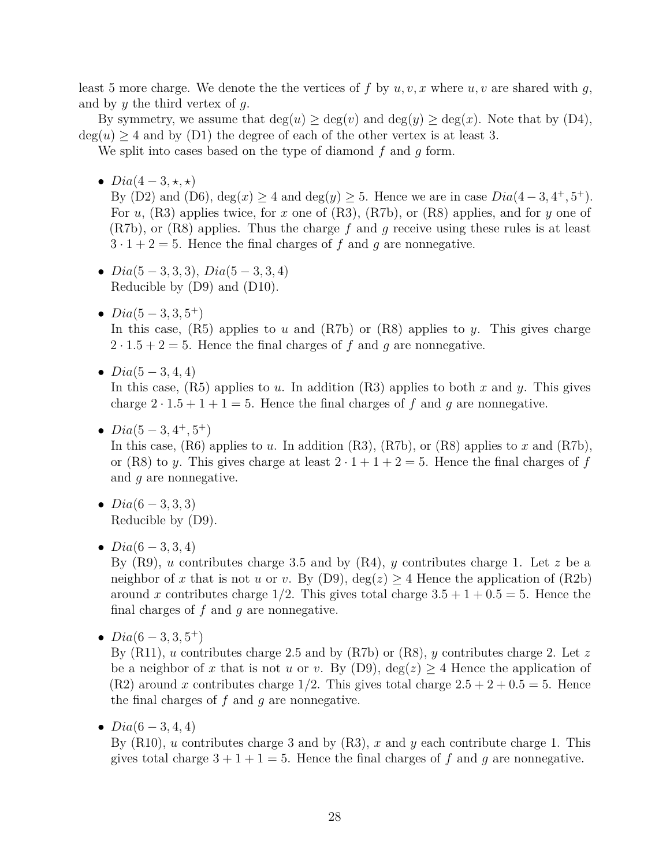least 5 more charge. We denote the the vertices of f by  $u, v, x$  where  $u, v$  are shared with  $g$ , and by *y* the third vertex of *g*.

By symmetry, we assume that  $deg(u) \geq deg(v)$  and  $deg(y) \geq deg(x)$ . Note that by (D4),  $deg(u) > 4$  and by (D1) the degree of each of the other vertex is at least 3.

We split into cases based on the type of diamond *f* and *g* form.

•  $Dia(4-3, \star, \star)$ 

By (D2) and (D6),  $deg(x) \ge 4$  and  $deg(y) \ge 5$ . Hence we are in case  $Dia(4-3, 4^+, 5^+)$ . For *u*, (R3) applies twice, for *x* one of (R3), (R7b), or (R8) applies, and for *y* one of (R7b), or (R8) applies. Thus the charge *f* and *g* receive using these rules is at least  $3 \cdot 1 + 2 = 5$ . Hence the final charges of f and q are nonnegative.

- *Dia*(5 − 3*,* 3*,* 3), *Dia*(5 − 3*,* 3*,* 4) Reducible by (D9) and (D10).
- $Dia(5-3,3,5^+)$ In this case, (R5) applies to *u* and (R7b) or (R8) applies to *y*. This gives charge  $2 \cdot 1.5 + 2 = 5$ . Hence the final charges of f and q are nonnegative.
- *Dia*(5 − 3*,* 4*,* 4)

In this case, (R5) applies to *u*. In addition (R3) applies to both *x* and *y*. This gives charge  $2 \cdot 1.5 + 1 + 1 = 5$ . Hence the final charges of f and g are nonnegative.

•  $Dia(5-3, 4^+, 5^+)$ 

In this case, (R6) applies to *u*. In addition (R3), (R7b), or (R8) applies to *x* and (R7b), or (R8) to *y*. This gives charge at least  $2 \cdot 1 + 1 + 2 = 5$ . Hence the final charges of *f* and *g* are nonnegative.

- *Dia*(6 − 3*,* 3*,* 3) Reducible by (D9).
- *Dia*(6 − 3*,* 3*,* 4)

By (R9), *u* contributes charge 3*.*5 and by (R4), *y* contributes charge 1. Let *z* be a neighbor of x that is not *u* or *v*. By (D9),  $deg(z) > 4$  Hence the application of (R2b) around *x* contributes charge  $1/2$ . This gives total charge  $3.5 + 1 + 0.5 = 5$ . Hence the final charges of *f* and *g* are nonnegative.

•  $Dia(6-3,3,5^+)$ 

By (R11), *u* contributes charge 2*.*5 and by (R7b) or (R8), *y* contributes charge 2. Let *z* be a neighbor of *x* that is not *u* or *v*. By (D9),  $deg(z) \geq 4$  Hence the application of  $(R2)$  around *x* contributes charge 1/2. This gives total charge  $2.5 + 2 + 0.5 = 5$ . Hence the final charges of *f* and *g* are nonnegative.

•  $Dia(6-3, 4, 4)$ 

By (R10), *u* contributes charge 3 and by (R3), *x* and *y* each contribute charge 1. This gives total charge  $3 + 1 + 1 = 5$ . Hence the final charges of f and g are nonnegative.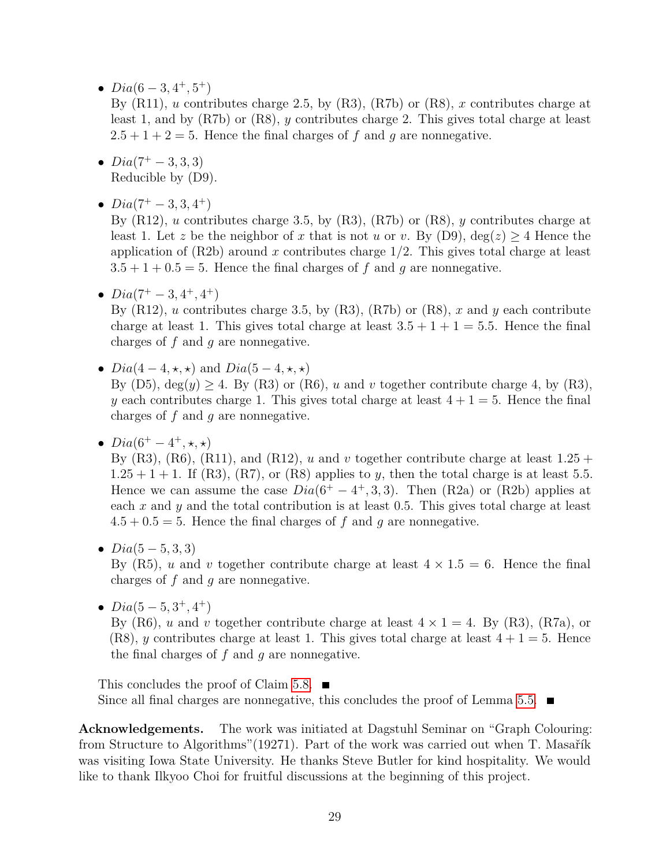•  $Dia(6-3, 4^+, 5^+)$ 

By (R11), *u* contributes charge 2*.*5, by (R3), (R7b) or (R8), *x* contributes charge at least 1, and by (R7b) or (R8), *y* contributes charge 2. This gives total charge at least  $2.5 + 1 + 2 = 5$ . Hence the final charges of f and q are nonnegative.

- $Dia(7^+ 3, 3, 3)$ Reducible by (D9).
- $Dia(7^+ 3, 3, 4^+)$

By (R12), *u* contributes charge 3*.*5, by (R3), (R7b) or (R8), *y* contributes charge at least 1. Let *z* be the neighbor of *x* that is not *u* or *v*. By (D9),  $deg(z) > 4$  Hence the application of (R2b) around *x* contributes charge 1*/*2. This gives total charge at least  $3.5 + 1 + 0.5 = 5$ . Hence the final charges of f and g are nonnegative.

•  $Dia(7^+ - 3, 4^+, 4^+)$ 

By  $(R12)$ , *u* contributes charge 3.5, by  $(R3)$ ,  $(R7b)$  or  $(R8)$ , *x* and *y* each contribute charge at least 1. This gives total charge at least  $3.5 + 1 + 1 = 5.5$ . Hence the final charges of *f* and *g* are nonnegative.

- $Dia(4-4, \star, \star)$  and  $Dia(5-4, \star, \star)$ By (D5),  $deg(y) > 4$ . By (R3) or (R6), *u* and *v* together contribute charge 4, by (R3), *y* each contributes charge 1. This gives total charge at least  $4 + 1 = 5$ . Hence the final charges of *f* and *g* are nonnegative.
- $Dia(6^+ 4^+, \star, \star)$

By  $(R3)$ ,  $(R6)$ ,  $(R11)$ , and  $(R12)$ , *u* and *v* together contribute charge at least  $1.25 +$  $1.25 + 1 + 1$ . If (R3), (R7), or (R8) applies to *y*, then the total charge is at least 5.5. Hence we can assume the case  $Dia(6^+ - 4^+, 3, 3)$ . Then  $(R2a)$  or  $(R2b)$  applies at each *x* and *y* and the total contribution is at least 0*.*5. This gives total charge at least  $4.5 + 0.5 = 5$ . Hence the final charges of f and g are nonnegative.

• *Dia*(5 − 5*,* 3*,* 3)

By  $(R5)$ , *u* and *v* together contribute charge at least  $4 \times 1.5 = 6$ . Hence the final charges of *f* and *g* are nonnegative.

•  $Dia(5-5,3^+,4^+)$ 

By (R6), *u* and *v* together contribute charge at least  $4 \times 1 = 4$ . By (R3), (R7a), or (R8), *y* contributes charge at least 1. This gives total charge at least  $4 + 1 = 5$ . Hence the final charges of *f* and *g* are nonnegative.

This concludes the proof of Claim [5.8.](#page-26-1)  $\blacksquare$ Since all final charges are nonnegative, this concludes the proof of Lemma [5.5.](#page-23-0)  $\blacksquare$ 

**Acknowledgements.** The work was initiated at Dagstuhl Seminar on "Graph Colouring: from Structure to Algorithms"(19271). Part of the work was carried out when T. Masařík was visiting Iowa State University. He thanks Steve Butler for kind hospitality. We would like to thank Ilkyoo Choi for fruitful discussions at the beginning of this project.